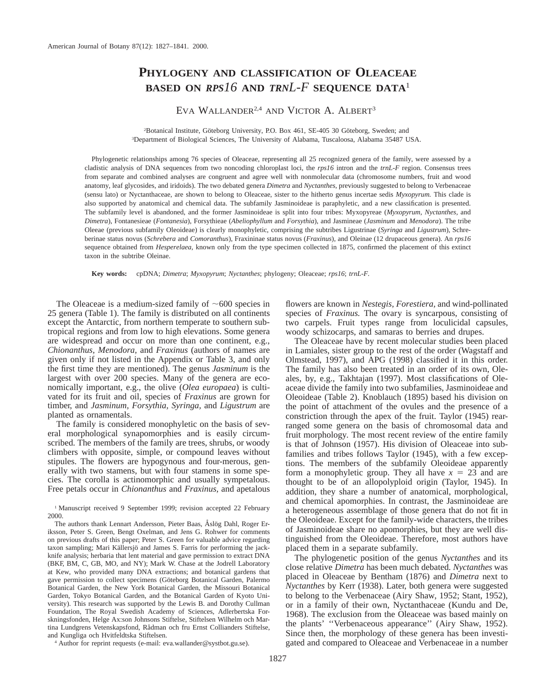# **PHYLOGENY AND CLASSIFICATION OF OLEACEAE BASED ON** *RPS16* **AND** *TRNL-F* **SEQUENCE DATA**<sup>1</sup>

EVA WALLANDER<sup>2,4</sup> AND VICTOR A. ALBERT<sup>3</sup>

<sup>2</sup>Botanical Institute, Göteborg University, P.O. Box 461, SE-405 30 Göteborg, Sweden; and 3 Department of Biological Sciences, The University of Alabama, Tuscaloosa, Alabama 35487 USA.

Phylogenetic relationships among 76 species of Oleaceae, representing all 25 recognized genera of the family, were assessed by a cladistic analysis of DNA sequences from two noncoding chloroplast loci, the *rps16* intron and the *trnL-F* region. Consensus trees from separate and combined analyses are congruent and agree well with nonmolecular data (chromosome numbers, fruit and wood anatomy, leaf glycosides, and iridoids). The two debated genera *Dimetra* and *Nyctanthes,* previously suggested to belong to Verbenaceae (sensu lato) or Nyctanthaceae, are shown to belong to Oleaceae, sister to the hitherto genus incertae sedis *Myxopyrum.* This clade is also supported by anatomical and chemical data. The subfamily Jasminoideae is paraphyletic, and a new classification is presented. The subfamily level is abandoned, and the former Jasminoideae is split into four tribes: Myxopyreae (*Myxopyrum, Nyctanthes,* and *Dimetra*), Fontanesieae (*Fontanesia*), Forsythieae (*Abeliophyllum* and *Forsythia*), and Jasmineae (*Jasminum* and *Menodora*). The tribe Oleeae (previous subfamily Oleoideae) is clearly monophyletic, comprising the subtribes Ligustrinae (*Syringa* and *Ligustrum*), Schreberinae status novus (*Schrebera* and *Comoranthus*), Fraxininae status novus (*Fraxinus*), and Oleinae (12 drupaceous genera). An *rps16* sequence obtained from *Hesperelaea,* known only from the type specimen collected in 1875, confirmed the placement of this extinct taxon in the subtribe Oleinae.

**Key words:** cpDNA; *Dimetra*; *Myxopyrum*; *Nyctanthes*; phylogeny; Oleaceae; *rps16*; *trnL-F.*

The Oleaceae is a medium-sized family of  $\sim 600$  species in 25 genera (Table 1). The family is distributed on all continents except the Antarctic, from northern temperate to southern subtropical regions and from low to high elevations. Some genera are widespread and occur on more than one continent, e.g., *Chionanthus, Menodora,* and *Fraxinus* (authors of names are given only if not listed in the Appendix or Table 3, and only the first time they are mentioned). The genus *Jasminum* is the largest with over 200 species. Many of the genera are economically important, e.g., the olive (*Olea europaea*) is cultivated for its fruit and oil, species of *Fraxinus* are grown for timber, and *Jasminum, Forsythia, Syringa,* and *Ligustrum* are planted as ornamentals.

The family is considered monophyletic on the basis of several morphological synapomorphies and is easily circumscribed. The members of the family are trees, shrubs, or woody climbers with opposite, simple, or compound leaves without stipules. The flowers are hypogynous and four-merous, generally with two stamens, but with four stamens in some species. The corolla is actinomorphic and usually sympetalous. Free petals occur in *Chionanthus* and *Fraxinus,* and apetalous

<sup>1</sup> Manuscript received 9 September 1999; revision accepted 22 February 2000.

The authors thank Lennart Andersson, Pieter Baas, Åslög Dahl, Roger Eriksson, Peter S. Green, Bengt Oxelman, and Jens G. Rohwer for comments on previous drafts of this paper; Peter S. Green for valuable advice regarding taxon sampling; Mari Källersjö and James S. Farris for performing the jackknife analysis; herbaria that lent material and gave permission to extract DNA (BKF, BM, C, GB, MO, and NY); Mark W. Chase at the Jodrell Laboratory at Kew, who provided many DNA extractions; and botanical gardens that gave permission to collect specimens (Göteborg Botanical Garden, Palermo Botanical Garden, the New York Botanical Garden, the Missouri Botanical Garden, Tokyo Botanical Garden, and the Botanical Garden of Kyoto University). This research was supported by the Lewis B. and Dorothy Cullman Foundation, The Royal Swedish Academy of Sciences, Adlerbertska Forskningsfonden, Helge Ax:son Johnsons Stiftelse, Stiftelsen Wilhelm och Martina Lundgrens Vetenskapsfond, Rådman och fru Ernst Collianders Stiftelse, and Kungliga och Hvitfeldtska Stiftelsen.

<sup>4</sup> Author for reprint requests (e-mail: eva.wallander@systbot.gu.se).

flowers are known in *Nestegis, Forestiera,* and wind-pollinated species of *Fraxinus.* The ovary is syncarpous, consisting of two carpels. Fruit types range from loculicidal capsules, woody schizocarps, and samaras to berries and drupes.

The Oleaceae have by recent molecular studies been placed in Lamiales, sister group to the rest of the order (Wagstaff and Olmstead, 1997), and APG (1998) classified it in this order. The family has also been treated in an order of its own, Oleales, by, e.g., Takhtajan (1997). Most classifications of Oleaceae divide the family into two subfamilies, Jasminoideae and Oleoideae (Table 2). Knoblauch (1895) based his division on the point of attachment of the ovules and the presence of a constriction through the apex of the fruit. Taylor (1945) rearranged some genera on the basis of chromosomal data and fruit morphology. The most recent review of the entire family is that of Johnson (1957). His division of Oleaceae into subfamilies and tribes follows Taylor (1945), with a few exceptions. The members of the subfamily Oleoideae apparently form a monophyletic group. They all have  $x = 23$  and are thought to be of an allopolyploid origin (Taylor, 1945). In addition, they share a number of anatomical, morphological, and chemical apomorphies. In contrast, the Jasminoideae are a heterogeneous assemblage of those genera that do not fit in the Oleoideae. Except for the family-wide characters, the tribes of Jasminoideae share no apomorphies, but they are well distinguished from the Oleoideae. Therefore, most authors have placed them in a separate subfamily.

The phylogenetic position of the genus *Nyctanthes* and its close relative *Dimetra* has been much debated. *Nyctanthes* was placed in Oleaceae by Bentham (1876) and *Dimetra* next to *Nyctanthes* by Kerr (1938). Later, both genera were suggested to belong to the Verbenaceae (Airy Shaw, 1952; Stant, 1952), or in a family of their own, Nyctanthaceae (Kundu and De, 1968). The exclusion from the Oleaceae was based mainly on the plants' ''Verbenaceous appearance'' (Airy Shaw, 1952). Since then, the morphology of these genera has been investigated and compared to Oleaceae and Verbenaceae in a number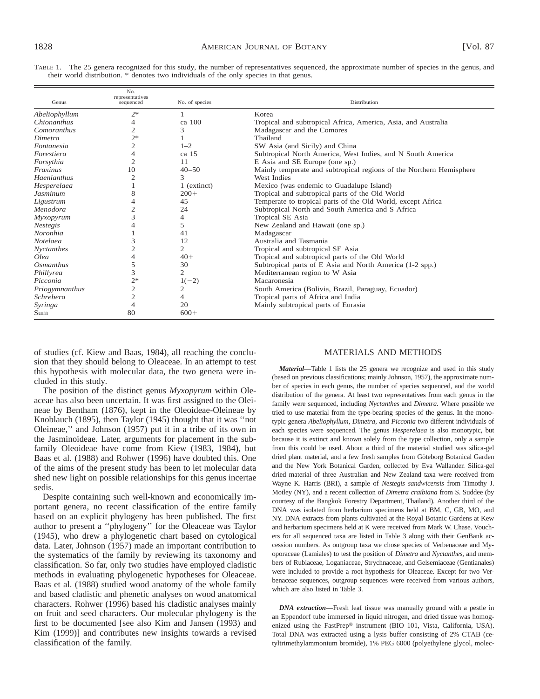| TABLE 1. The 25 genera recognized for this study, the number of representatives sequenced, the approximate number of species in the genus, and |  |  |
|------------------------------------------------------------------------------------------------------------------------------------------------|--|--|
| their world distribution. * denotes two individuals of the only species in that genus.                                                         |  |  |

| Genus            | No.<br>representatives<br>sequenced | No. of species   | Distribution                                                        |
|------------------|-------------------------------------|------------------|---------------------------------------------------------------------|
| Abeliophyllum    | $2*$                                |                  | Korea                                                               |
| Chionanthus      | 4                                   | ca 100           | Tropical and subtropical Africa, America, Asia, and Australia       |
| Comoranthus      | 2                                   | 3                | Madagascar and the Comores                                          |
| Dimetra          | $2*$                                |                  | Thailand                                                            |
| Fontanesia       | 2                                   | $1 - 2$          | SW Asia (and Sicily) and China                                      |
| Forestiera       | 4                                   | ca <sub>15</sub> | Subtropical North America, West Indies, and N South America         |
| Forsythia        | $\overline{2}$                      | 11               | E Asia and SE Europe (one sp.)                                      |
| Fraxinus         | 10                                  | $40 - 50$        | Mainly temperate and subtropical regions of the Northern Hemisphere |
| Haenianthus      |                                     | 3                | West Indies                                                         |
| Hesperelaea      |                                     | 1 (extinct)      | Mexico (was endemic to Guadalupe Island)                            |
| <b>Jasminum</b>  | 8                                   | $200+$           | Tropical and subtropical parts of the Old World                     |
| Ligustrum        |                                     | 45               | Temperate to tropical parts of the Old World, except Africa         |
| Menodora         |                                     | 24               | Subtropical North and South America and S Africa                    |
| <b>Myxopyrum</b> | 3                                   | 4                | Tropical SE Asia                                                    |
| <b>Nestegis</b>  |                                     | 5                | New Zealand and Hawaii (one sp.)                                    |
| <b>Noronhia</b>  |                                     | 41               | Madagascar                                                          |
| <b>Notelaea</b>  | 3                                   | 12               | Australia and Tasmania                                              |
| Nyctanthes       |                                     | 2                | Tropical and subtropical SE Asia                                    |
| Olea             |                                     | $40+$            | Tropical and subtropical parts of the Old World                     |
| Osmanthus        | 5                                   | 30               | Subtropical parts of E Asia and North America (1-2 spp.)            |
| Phillyrea        | 3                                   | $\mathfrak{2}$   | Mediterranean region to W Asia                                      |
| Picconia         | $2*$                                | $1(-2)$          | Macaronesia                                                         |
| Priogymnanthus   | 2                                   | 2                | South America (Bolivia, Brazil, Paraguay, Ecuador)                  |
| <i>Schrebera</i> | $\overline{c}$                      | $\overline{4}$   | Tropical parts of Africa and India                                  |
| Syringa          | 4                                   | 20               | Mainly subtropical parts of Eurasia                                 |
| Sum              | 80                                  | $600+$           |                                                                     |

of studies (cf. Kiew and Baas, 1984), all reaching the conclusion that they should belong to Oleaceae. In an attempt to test this hypothesis with molecular data, the two genera were included in this study.

The position of the distinct genus *Myxopyrum* within Oleaceae has also been uncertain. It was first assigned to the Oleineae by Bentham (1876), kept in the Oleoideae-Oleineae by Knoblauch (1895), then Taylor (1945) thought that it was ''not Oleineae,'' and Johnson (1957) put it in a tribe of its own in the Jasminoideae. Later, arguments for placement in the subfamily Oleoideae have come from Kiew (1983, 1984), but Baas et al. (1988) and Rohwer (1996) have doubted this. One of the aims of the present study has been to let molecular data shed new light on possible relationships for this genus incertae sedis.

Despite containing such well-known and economically important genera, no recent classification of the entire family based on an explicit phylogeny has been published. The first author to present a ''phylogeny'' for the Oleaceae was Taylor (1945), who drew a phylogenetic chart based on cytological data. Later, Johnson (1957) made an important contribution to the systematics of the family by reviewing its taxonomy and classification. So far, only two studies have employed cladistic methods in evaluating phylogenetic hypotheses for Oleaceae. Baas et al. (1988) studied wood anatomy of the whole family and based cladistic and phenetic analyses on wood anatomical characters. Rohwer (1996) based his cladistic analyses mainly on fruit and seed characters. Our molecular phylogeny is the first to be documented [see also Kim and Jansen (1993) and Kim (1999)] and contributes new insights towards a revised classification of the family.

## MATERIALS AND METHODS

*Material*—Table 1 lists the 25 genera we recognize and used in this study (based on previous classifications; mainly Johnson, 1957), the approximate number of species in each genus, the number of species sequenced, and the world distribution of the genera. At least two representatives from each genus in the family were sequenced, including *Nyctanthes* and *Dimetra.* Where possible we tried to use material from the type-bearing species of the genus. In the monotypic genera *Abeliophyllum, Dimetra,* and *Picconia* two different individuals of each species were sequenced. The genus *Hesperelaea* is also monotypic, but because it is extinct and known solely from the type collection, only a sample from this could be used. About a third of the material studied was silica-gel dried plant material, and a few fresh samples from Göteborg Botanical Garden and the New York Botanical Garden, collected by Eva Wallander. Silica-gel dried material of three Australian and New Zealand taxa were received from Wayne K. Harris (BRI), a sample of *Nestegis sandwicensis* from Timothy J. Motley (NY), and a recent collection of *Dimetra craibiana* from S. Suddee (by courtesy of the Bangkok Forestry Department, Thailand). Another third of the DNA was isolated from herbarium specimens held at BM, C, GB, MO, and NY. DNA extracts from plants cultivated at the Royal Botanic Gardens at Kew and herbarium specimens held at K were received from Mark W. Chase. Vouchers for all sequenced taxa are listed in Table 3 along with their GenBank accession numbers. As outgroup taxa we chose species of Verbenaceae and Myoporaceae (Lamiales) to test the position of *Dimetra* and *Nyctanthes,* and members of Rubiaceae, Loganiaceae, Strychnaceae, and Gelsemiaceae (Gentianales) were included to provide a root hypothesis for Oleaceae. Except for two Verbenaceae sequences, outgroup sequences were received from various authors, which are also listed in Table 3.

*DNA extraction*—Fresh leaf tissue was manually ground with a pestle in an Eppendorf tube immersed in liquid nitrogen, and dried tissue was homogenized using the FastPrep® instrument (BIO 101, Vista, California, USA). Total DNA was extracted using a lysis buffer consisting of 2% CTAB (cetyltrimethylammonium bromide), 1% PEG 6000 (polyethylene glycol, molec-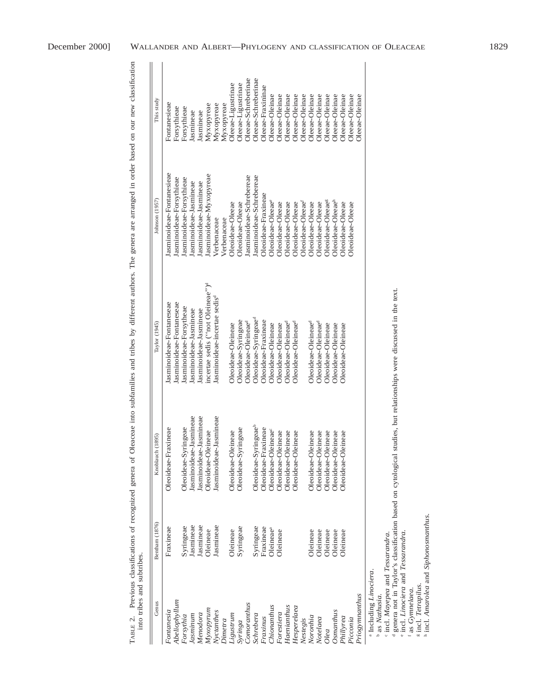| into tribes and subtribes. | TABLE 2. Previous classifications of recognized genera of |                                 | Oleaceae into subfamilies and tribes by different authors. The genera are arranged in order based on our new classification |                               |                     |
|----------------------------|-----------------------------------------------------------|---------------------------------|-----------------------------------------------------------------------------------------------------------------------------|-------------------------------|---------------------|
| Genus                      | Bentham (1876)                                            | Knoblauch (1895)                | Taylor (1945)                                                                                                               | Johnson (1957)                | This study          |
| Fontanesia                 | Fraxineae                                                 | Oleoideae-Fraxineae             | Jasminoideae-Fontaneseae                                                                                                    | Jasminoideae-Fontanesieae     | Fontanesieae        |
| Abeliophyllum              |                                                           |                                 | Jasminoideae-Fontaneseae                                                                                                    | Jasminoideae-Forsythieae      | Forsythieae         |
| Forsythia                  | Syringeae                                                 | Oleoideae-Syringeae             | Jasminoideae-Forsytheae                                                                                                     | Jasminoideae-Forsythieae      | Forsythieae         |
| Jasminum                   | Jasmineae                                                 | Jasminoideae-Jasmineae          | Jasminoideae-Jasmineae                                                                                                      | Jasminoideae-Jasmineae        | <b>Jasmineae</b>    |
| Menodora                   | <b>Jasmineae</b>                                          | Jasminoideae-Jasmineae          | Jasminoideae-Jasmineae                                                                                                      | Jasminoideae-Jasmineae        | <b>Jasmineae</b>    |
| Myxopyrum                  | Oleineae                                                  | Oleoideae-Oleineae              | incertae sedis ("not Oleineae") <sup>d</sup>                                                                                | Jasminoideae-Myxopyreae       | Мухоругеае          |
| Nyctanthes                 | Jasmineae                                                 | Jasminoideae-Jasmineae          | Jasminoideae-incertae sedis <sup>d</sup>                                                                                    | Verbenaceae                   | Мухоругеае          |
| Dimetra                    |                                                           |                                 |                                                                                                                             | Verbenaceae                   | Мухоругеае          |
| Ligustrum                  | Oleineae                                                  | Oleoideae-Oleineae              | Oleoideae-Oleineae                                                                                                          | Oleoideae-Oleeae              | Oleeae-Ligustrinae  |
| Syringa                    | Syringeae                                                 | Oleoideae-Syringeae             | Oleoideae-Syringeae                                                                                                         | Oleoideae-Oleeae              | Oleeae-Ligustrinae  |
| Conoranthus                |                                                           |                                 | Oleoideae-Oleineae <sup>d</sup>                                                                                             | Jasminoideae-Schrebereae      | Oleeae-Schreberinae |
| Schrebera                  | Syringeae                                                 | Oleoideae-Syringeaeb            | Oleoideae-Syringeae <sup>d</sup>                                                                                            | Jasminoideae-Schrebereae      | Oleeae-Schreberinae |
| Fraxinus                   | Fraxineae                                                 | Oleoideae-Fraxineae             | Oleoideae-Fraxineae                                                                                                         | Oleoideae-Fraxineae           | Oleeae-Fraxininae   |
| Chionanthus                | Oleineae <sup>a</sup>                                     | Oleoideae-Oleineae <sup>c</sup> | Oleoideae-Oleineae                                                                                                          | Oleoideae-Oleeae <sup>e</sup> | Oleeae-Oleinae      |
| Forestiera                 | Oleineae                                                  | Oleoideae-Oleineae              | Oleoideae-Oleineae                                                                                                          | Oleoideae-Oleeae              | Oleeae-Oleinae      |
| Haenianthus                |                                                           | Oleoideae-Oleineae              | Oleoideae-Oleineae <sup>d</sup>                                                                                             | Oleoideae-Oleeae              | Oleeae-Oleinae      |
| Hes perelaea               |                                                           | Oleoideae-Oleineae              | Oleoideae-Oleineae <sup>d</sup>                                                                                             | Oleoideae-Oleeae              | Oleeae-Oleinae      |
| Nestegis                   |                                                           |                                 |                                                                                                                             | Oleoideae-Oleeae <sup>r</sup> | Oleeae-Oleinae      |
| Noronhia                   | Oleineae                                                  | Oleoideae-Oleineae              | Oleoideae-Oleineae <sup>d</sup>                                                                                             | Oleoideae-Oleeae              | Oleeae-Oleinae      |
| Notelaea                   | Oleineae                                                  | Oleoideae-Oleineae              | Oleoideae-Oleineae <sup>d</sup>                                                                                             | Oleoideae-Oleeae              | Oleeae-Oleinae      |
| Olea                       | Oleineae                                                  | Oleoideae-Oleineae              | Oleoideae-Oleineae                                                                                                          | Oleoideae-Oleeae <sup>g</sup> | Oleeae-Oleinae      |
| <b>Osmanthus</b>           | Oleineae                                                  | Oleoideae-Oleineae              | Oleoideae-Oleineae                                                                                                          | Oleoideae-Oleeae <sup>h</sup> | Oleeae-Oleinae      |
| Phillyrea                  | Oleineae                                                  | Oleoideae-Oleineae              | Oleoideae-Oleineae                                                                                                          | Oleoideae-Oleeae              | Oleeae-Oleinae      |
| Picconia                   |                                                           |                                 |                                                                                                                             | Oleoideae-Oleeae              | Oleeae-Oleinae      |
| Priogymnanthus             |                                                           |                                 |                                                                                                                             |                               | Oleeae-Oleinae      |

*Priogymnanthus* <sup>a</sup> Including Linociera.

<sup>a</sup> Including *Linociera.*<br><sup>b</sup> as *Nathusia.*<br>' incl. *Mayepea* and *Tessarandra.*<br><sup>d</sup> genera not in Taylor's classification based on cytological studies, but relationships were discussed in the text.

e incl. *Linociera* and *Tessarandra*. f as *Gymnelaea*. g incl. *Tetrapilus*. h incl. *Amarolea* and *Siphonosmanthus*.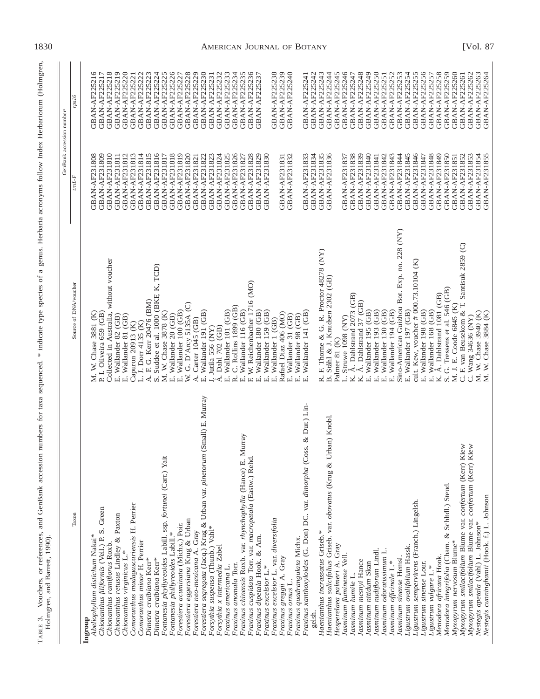| Ĕ<br>- 550<br>I<br>Harbam<br>֧֧֧֧֧֧֧֧֧֧֧֧֧֧֧֧֧֧֧֧֛֪֛֪֛֚֚֚֚֚֚֚֚֚֚֚֚֚֚֚֚֚֚֚֚֚֚֚֚֚֚֝֕֕֝֝֝֝֬֝֓֝֬֝֓֝֬֝֬֝֓֝֬֝֬֝֬֝֬֝֬֝֬֝֬֝֬֝֬֝֝֝<br>m<br>$\sim$<br>2.747040<br>ł<br>į<br>l                                                  |                                                       |
|----------------------------------------------------------------------------------------------------------------------------------------------------------------------------------------------------------------------|-------------------------------------------------------|
| ;;;<br>くへへい<br>i<br>:<br>:<br>$\frac{1}{2}$<br>mımhar<br>$\overline{a}$<br>$\ddot{\phantom{a}}$<br>į<br>.<br>Santa Catal<br>.<br>S<br>l<br>j<br>i<br>İ<br>֚֡<br>֧֦֪֚֚֚֚֚֚֚֚֚֚֚֚֚֚֚֚֚֚֝֝֝֝֝֬֝֝֝<br>$\frac{1}{2}$<br>F | i<br>I<br>I<br>Ĭ<br>;<br>;<br>֡֡֡֡֡֡֡֡<br>I<br>י<br>ו |

|                                                                                                         |                                                                       | GenBank accession number              |                                       |
|---------------------------------------------------------------------------------------------------------|-----------------------------------------------------------------------|---------------------------------------|---------------------------------------|
| Taxon                                                                                                   | Source of DNA/voucher                                                 | mL                                    | rps16                                 |
| Abeliophyllum distichum Nakai*<br>Ingroup                                                               | M. W. Chase 3881 (K)                                                  | GBAN-AF231808                         | GBAN-AF225216                         |
| Chionanthus filiformis (Vell.) P. S. Green                                                              | P. I. Oliveira 659 (GB)                                               | GBAN-AF231810<br>GBAN-AF231809        | GBAN-AF225218<br>GBAN-AF225217        |
| Chionanthus retusus Lindley & Paxton<br>Chionanthus ramiflorus Roxb.                                    | Collected in Australia, without voucher<br>E. Wallander 82 (GB)       | <b>GBAN-AF231811</b>                  | GBAN-AF225219                         |
| Chionanthus virginicus L.*                                                                              | E. Wallander 81 (GB)                                                  | GBAN-AF231812                         | GBAN-AF225220                         |
| Comoranthus madagascariensis H. Perrier                                                                 | Capuron 20913 (K)                                                     | GBAN-AF231813                         | GBAN-AF225221                         |
| Comoranthus minor H. Perrier<br>Dimetra craibiana Kerr*                                                 | F. G. Kerr 20476 (BM)<br>L. J. Dorr 4135 (K)<br>$\dot{\mathcal{A}}$ . | <b>GBAN-AF231815</b><br>GBAN-AF231814 | GBAN-AF225222<br>GBAN-AF225223        |
| Dimetra craibiana Kerr*                                                                                 | S. Suddee et al. 1000 (BKF, K, TCD)                                   | GBAN-AF231816                         | GBAN-AF225224                         |
| Fontanesia phyllyreoides Labill. ssp. fortunei (Carr.) Yait                                             | W. Chase 3878 (K)<br>Ż                                                | GBAN-AF231817                         | GBAN-AF225225                         |
| Fontanesia phillyreoides Labill.*                                                                       | E. Wallander 20 (GB)                                                  | <b>GBAN-AF231818</b>                  | GBAN-AF225226                         |
| Forestiera acuminata (Michx.) Poir.                                                                     | G. D'Arcy 5135A (C)<br>Wallander 100 (GB)<br>Þ.<br>Ц.<br>Ц            | <b>GBAN-AF231819</b><br>GBAN-AF231820 | GBAN-AF225228<br>GBAN-AF225227        |
| Forestiera eggersiana Krug & Urban<br>Forestiera neo-mexicana A. Gray                                   | Carter 1045 (GB)<br>₹.                                                | GBAN-AF231821                         | GBAN-AF225229                         |
| (Small) E. Murray<br>Forestiera segregata (Jacq.) Krug & Urban var. pinetorum                           | Wallander 191 (GB)<br>шi                                              | GBAN-AF231822                         | GBAN-AF225230                         |
| Forsythia suspensa (Thunb.) Vahl*                                                                       | Dahl 702 (GB)<br>Jutila 556 (NY)                                      | GBAN-AF231823<br>GBAN-AF231824        | <b>GBAN-AF225231</b><br>GBAN-AF225232 |
| Forsythia x intermedia Zabel<br>Fraxinus americana L.                                                   | Wallander 101 (GB)<br>$\dot{\mathbf{A}}$ .                            | GBAN-AF231825                         | GBAN-AF225233                         |
| Fraxinus anomala Torr.                                                                                  | C. Rollins 1899 (GB)<br>نم                                            | GBAN-AF231826                         | GBAN-AF225234                         |
| Murray<br>Fraxinus chinensis Roxb. var. rhynchophylla (Hance) E.                                        | Wallander 116 (GB)<br>Ŀi                                              | GBAN-AF231827                         | GBAN-AF225235                         |
| Fraxinus cuspidata Torr. var. macropetala (Eastw.) Rehd                                                 | W. Reichenbacher 1716 (MO)<br>Œ.                                      | GBAN-AF231828                         | GBAN-AF225236                         |
| Fraxinus dipetala Hook. & Arn.<br>Fraxinus excelsior L.*                                                | Wallander 180 (GB)<br>Wallander 159 (GB)<br>ЕÓ<br>шİ                  | GBAN-AF231829<br>GBAN-AF231830        | GBAN-AF225237                         |
| Fraxinus excelsior L. var. diversifolia                                                                 | Wallander 1 (GB)<br>$\overrightarrow{\mathbf{m}}$                     |                                       | GBAN-AF225238                         |
| Fraxinus greggii A. Gray                                                                                | Rafael Diaz 406 (MO)                                                  | GBAN-AF231831                         | GBAN-AF225239                         |
| Fraxinus ornus L.                                                                                       | E. Wallander 31 (GB)                                                  | GBAN-AF231832                         | GBAN-AF225240                         |
| Fraxinus xanthoxyloides (G. Don) DC. var. dimorpha (Coss. & Dur.) Lin-<br>Fraxinus quadrangulata Michx. | Wallander 141 (GB)<br>Wallander 98 (GB)<br>ЕÓ<br>ЕÓ                   | GBAN-AF231833                         | GBAN-AF225241                         |
| gelsh.                                                                                                  |                                                                       | GBAN-AF231834                         | GBAN-AF225242                         |
| Haenianthus incrassatus Griseb.*                                                                        | F. Thome & G. R. Proctor 48278 (NY)<br>$\vec{\mathbf{z}}$             | GBAN-AF231835                         | GBAN-AF225243                         |
| Jrban) Knobl<br>Haenianthus salicifolius Griseb. var. obovatus (Krug &                                  | B. Ståhl & J. Knudsen 2302 (GB)<br>Palmer 81 (K)                      | GBAN-AF231836                         | GBAN-AF225244<br>GBAN-AF225245        |
| Hesperelaea palmeri A. Gray<br>Jasminum fluminense Vell.                                                | Struwe 1098 (NY)                                                      | GBAN-AF231837                         | GBAN-AF225246                         |
| Jasminum humile L.                                                                                      | A. Dahlstrand 2073 (GB)<br>K.                                         | GBAN-AF231838                         | GBAN-AF225247                         |
| Jasminum mesnyi Hance                                                                                   | A. Dahlstrand 37 (GB)<br>K.                                           | GBAN-AF231839                         | GBAN-AF225248                         |
| Jasminum nitidum Skan                                                                                   | Wallander 195 (GB)<br>ЕÓ                                              | GBAN-AF231840                         | GBAN-AF225249                         |
| Jasminum nudiflorum Lindl.                                                                              | Wallander 193 (GB)<br>Ξİ                                              | GBAN-AF231841                         | GBAN-AF225250                         |
| Jasminum odoratissimum L.<br>Jasminum officinale L.*                                                    | Wallander 130 (GB)<br>Wallander 194 (GB)<br>щi<br>ЕÓ                  | GBAN-AF231842<br>GBAN-AF231843        | GBAN-AF225252<br><b>GBAN-AF225251</b> |
| Jasminum sinense Hemsl.                                                                                 | Sino-American Guizhou Bot. Exp. no. 228 (NY)                          | GBAN-AF231844                         | <b>GBAN-AF225253</b>                  |
| Ligustrum ovalifolium Hassk.                                                                            | E. Wallander 197 (GB)                                                 | GBAN-AF231845                         | GBAN-AF225254                         |
| Ligustrum sempervirens (Franch.) Lingelsh.                                                              | cult. Kew, voucher # 000.73.10104 (K)                                 | GBAN-AF231846                         | <b>GBAN-AF225255</b>                  |
| Ligustrum sinense Lour.                                                                                 | E. Wallander 198 (GB)                                                 | GBAN-AF231847                         | GBAN-AF225256                         |
| Ligustrum vulgare L.                                                                                    | Å. Dahlstrand 1081 (GB)<br>Wallander 168 (GB)<br>K.<br>ЕÓ             | GBAN-AF231849<br>GBAN-AF231848        | GBAN-AF225258<br><b>GBAN-AF225257</b> |
| Menodora integrifolia (Cham. & Schltdl.) Steud.<br>Menodora africana Hook.                              | S. G. Tressens et al. 546 (GB)                                        | GBAN-AF231850                         | GBAN-AF225259                         |
| Myxopyrum nervosum Blume*                                                                               | J. E. Coode 6845 (K)<br>z.                                            | GBAN-AF231851                         | GBAN-AF225260                         |
| Myxopyrum smilacifolium Blume var. confertum (Kerr) Kiew                                                | F. van Beusekom & T. Santisuk 2859 (C)<br>ن                           | GBAN-AF231852                         | GBAN-AF225261                         |
| Myxopyrum smilacijolium Blume var. confertum (Kerr) Kiew                                                | C. Wang 34636 (NY)                                                    | GBAN-AF231853                         | GBAN-AF225262                         |
| Nestegis cunninghamii (Hook. f.) L. Johnson<br>Nestegis apetala (Vahl) L. Johnson*                      | W. Chase 3940 (K)<br>W. Chase 3884 (K)<br>Σ.<br>$\overline{\Sigma}$   | GBAN-AF231854<br>GBAN-AF231855        | GBAN-AF225263<br>GBAN-AF225264        |
|                                                                                                         |                                                                       |                                       |                                       |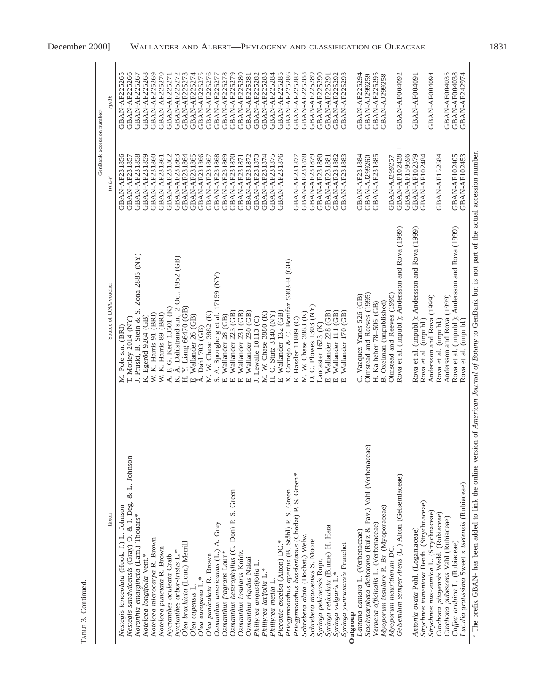| ٢<br>١ |  |
|--------|--|
| ŗ<br>г |  |

 $\frac{1}{2}$ 

|                                                                                |                                                           | GenBank accession number <sup>4</sup> |                      |
|--------------------------------------------------------------------------------|-----------------------------------------------------------|---------------------------------------|----------------------|
| Taxon                                                                          | Source of DNA/voucher                                     | $\mathit{trnL-}F$                     | rps16                |
| Nestegis lanceolata (Hook. f.) L. Johnson                                      | M. Pole s.n. (BRI)                                        | GBAN-AF231856                         | GBAN-AF225265        |
| Nestegis sandwicensis (Gray) O. & I. Deg. & L. Johnson                         | $T.$ Motley 2014 (NY)                                     | GBAN-AF231857                         | GBAN-AF225266        |
| Noronhia emarginata (Lam.) Thouars*                                            | Zona 2885 (NY)<br>J. Pruski, B. Stein & S.                | <b>GBAN-AF231858</b>                  | GBAN-AF225267        |
| Notelaea longifolia Vent.*                                                     | K. Egeröd 9264 (GB)                                       | GBAN-AF231859                         | GBAN-AF225268        |
| Notelaea microcarpa R. Brown                                                   | W. K. Harris 91 (BRI)                                     | GBAN-AF231860                         | GBAN-AF225269        |
| Notelaea punctata R. Brown                                                     | W. K. Harris 89 (BRI)                                     | <b>GBAN-AF231861</b>                  | GBAN-AF225270        |
| Nyctanthes aculeata Craib                                                      | F. G. Kerr 13501 (K)<br>$\overline{\mathcal{A}}$          | GBAN-AF231862                         | GBAN-AF225271        |
| Nyctanthes arbor-tristis L.                                                    | Å. Dahlstrand s.n., 2 Oct. 1952 (GB)<br>K.                | <b>GBAN-AF231863</b>                  | GBAN-AF225272        |
| Olea brachiata (Lour.) Merrill                                                 | Y. Liang 66470 (GB)<br>H.                                 | GBAN-AF231864                         | <b>GBAN-AF225273</b> |
| Olea capensis L.                                                               | E. Wallander 26 (GB)                                      | GBAN-AF231865                         | GBAN-AF225274        |
| Olea europaea L.*                                                              | Å. Dahl 703 (GB)                                          | GBAN-AF231866                         | <b>GBAN-AF225275</b> |
| Olea paniculata R. Brown                                                       | W. Chase 3882 (K)<br>ΣÌ,                                  | GBAN-AF231867                         | GBAN-AF225276        |
| Osmanthus americanus (L.) A. Gray                                              | S. A. Spongberg et al. 17159 (NY)<br>E. Wallander 28 (GB) | GBAN-AF231868                         | GBAN-AF225277        |
| Osmanthus fragrans Lour.*                                                      |                                                           | <b>GBAN-AF231869</b>                  | GBAN-AF225278        |
| Osmanthus heterophyllus (G. Don) P. S. Green                                   | Wallander 223 (GB)<br>$\vec{E}$                           | <b>GBAN-AF231870</b>                  | <b>GBAN-AF225279</b> |
| Osmanthus insularis Koidz.                                                     | Wallander 231 (GB)<br>Е.<br>П                             | <b>GBAN-AF231871</b>                  | GBAN-AF225280        |
| Osmanthus rigidus Nakai                                                        | Wallander 230 (GB)<br>.<br>भ                              | GBAN-AF231872                         | <b>GBAN-AF225281</b> |
| Phillyrea angustifolia L.                                                      | J. Lewalle 10113 (C)                                      | GBAN-AF231873                         | GBAN-AF225282        |
| Phillyrea latifolia L.*                                                        | M. W. Chase 3880 (K)                                      | GBAN-AF231874                         | <b>GBAN-AF225283</b> |
| Phillyrea media L.                                                             | C. Stutz $3140$ (NY)<br>H                                 | <b>GBAN-AF231875</b>                  | GBAN-AF225284        |
| Picconia excelsa (Aiton) DC.*                                                  | Wallander 132 (GB)<br>$\overline{E}$                      | GBAN-AF231876                         | <b>GBAN-AF225285</b> |
| Priogymuanthus apertus (B. Ståhl) P. S. Green                                  | Cornejo & C. Bonifaz 5303-B (GB)<br>$\times$              |                                       | GBAN-AF225286        |
| Priogymnanthus hasslerianus (Chodat) P. S. Green*                              | E. Hassler 11889 (C)                                      | GBAN-AF231877                         | GBAN-AF225287        |
| Schrebera alata (Hochst.) Welw.                                                | W. Chase 3883 (K)<br>$\overline{\mathbf{x}}$              | <b>GBAN-AF231878</b>                  | GBAN-AF225288        |
| Schrebera mazoensis S. Moore                                                   | D. C. Plowes 1303 (NY)                                    | GBAN-AF231879                         | GBAN-AF225289        |
| Syringa pekinensis Rupr.                                                       | Lancaster 1623 (K)                                        | <b>GBAN-AF231880</b>                  | GBAN-AF225290        |
| Syringa reticulata (Blume) H. Hara                                             | Wallander 228 (GB)<br>。<br>山                              | <b>GBAN-AF231881</b>                  | <b>GBAN-AF225291</b> |
| Syringa vulgaris L.*                                                           | Wallander 111 (GB)<br>.<br>Ш                              | GBAN-AF231882                         | GBAN-AF225292        |
| Syringa yunnanensis Franchet                                                   | Wallander 170 (GB)<br>$\overline{E}$                      | GBAN-AF231883                         | GBAN-AF225293        |
| Lantana camara L. (Verbenaceae)<br>Outgroup                                    | C. Vazquez Yanes 526 (GB)                                 | GBAN-AF231884                         | GBAN-AF225294        |
| Stachytarpheta dichotoma (Ruiz & Pav.) Vahl (Verbenaceae)                      | Olmstead and Reeves (1995)                                | GBAN-AJ299260                         | GBAN-AJ299259        |
|                                                                                | H. Kalheber 78-506 (GB)                                   | <b>GBAN-AF231885</b>                  | <b>GBAN-AF225295</b> |
| Myoporum insulare R. Br. (Myoporaceae)<br>Verbena officinalis L. (Verbenaceae) | B. Oxelman (unpublished)                                  |                                       | GBAN-AJ299258        |
| Myoporum mauritianum DC.                                                       | Olmstead and Reeves (1995)                                | GBAN-AJ299257                         |                      |
| Gelsemium sempervirens (L.) Aiton (Gelsemiaceae)                               | Rova et al. (unpubl.); Andersson and Rova (1999)          | $^{+}$<br><b>GBAN-AF102428</b>        | GBAN-AF004092        |
|                                                                                |                                                           | <b>GBAN-AF159696</b>                  |                      |
| Antonia ovata Pohl. (Loganiaceae)                                              | Rova et al. (unpubl.); Andersson and Rova (1999)          | <b>GBAN-AF102379</b>                  | GBAN-AF004091        |
| Strychnos tomentosa Benth. (Strychnaceae)                                      | Rova et al. (unpubl.)                                     | GBAN-AF102484                         |                      |
| Strychnos nux-vomica L. (Strychnaceae)                                         | Andersson and Rova (1999)                                 |                                       | GBAN-AF004094        |
| Cinchona pitayensis Wedd. (Rubiaceae)<br>Cinchona pubescens Vahl (Rubiaceae)   | Andersson and Rova (1999)<br>Rova et al. (unpubl.)        | GBAN-AF152684                         | GBAN-AF004035        |
| Coffea arabica L. (Rubiaceae)                                                  | (unpubl.); Andersson and Rova (1999)<br>Rova et al.       | GBAN-AF102405                         | GBAN-AF004038        |
| Luculia gratissima Sweet x tsetensis (Rubiaceae)                               | Rova et al. (unpubl.)                                     | GBAN-AF102453                         | GBAN-AF242974        |
|                                                                                |                                                           |                                       |                      |

<sup>2</sup><br>The prefix GBAN- has been added to link the online version of American Journal of Botany to GenBank but is not part of the actual accession number. The prefix GBAN- has been added to link the online version of *American Journal of Botany* to GenBank but is not part of the actual accession number.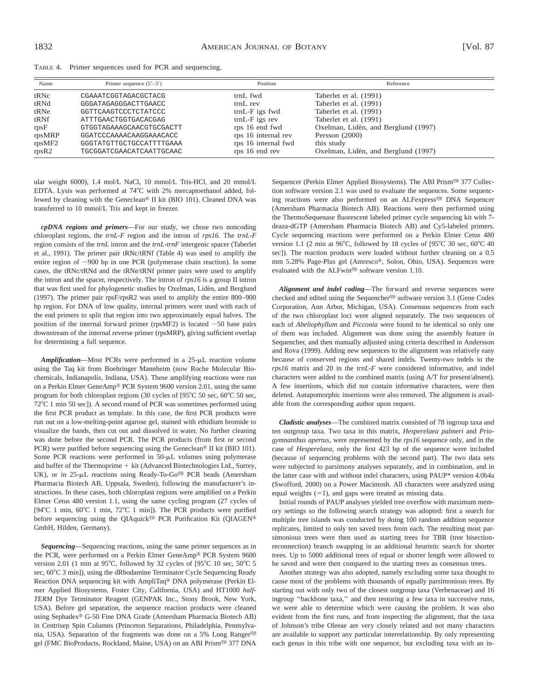TABLE 4. Primer sequences used for PCR and sequencing.

| Name   | Primer sequence $(5'-3')$ | Position            | Reference                           |
|--------|---------------------------|---------------------|-------------------------------------|
| tRNc   | CGAAATCGGTAGACGCTACG      | trnL fwd            | Taberlet et al. (1991)              |
| tRNd   | GGGATAGAGGGACTTGAACC      | $trnL$ rev          | Taberlet et al. (1991)              |
| tRNe   | GGTTCAAGTCCCTCTATCCC      | trnL-F igs fwd      | Taberlet et al. (1991)              |
| tRNf   | ATTTGAACTGGTGACACGAG      | $trnL-F$ igs rev    | Taberlet et al. (1991)              |
| rpsF   | GTGGTAGAAAGCAACGTGCGACTT  | rps 16 end fwd      | Oxelman, Lidén, and Berglund (1997) |
| rpsMRP | GGATCCCAAAACAAGGAAACACC   | rps 16 internal rev | Persson $(2000)$                    |
| rpsMF2 | GGGTATGTTGCTGCCATTTTGAAA  | rps 16 internal fwd | this study                          |
| rpsR2  | TGCGGATCGAACATCAATTGCAAC  | rps 16 end rev      | Oxelman, Lidén, and Berglund (1997) |

ular weight 6000), 1.4 mol/L NaCl, 10 mmol/L Tris-HCl, and 20 mmol/L EDTA. Lysis was performed at  $74^{\circ}$ C with 2% mercaptoethanol added, followed by cleaning with the Geneclean® II kit (BIO 101). Cleaned DNA was transferred to 10 mmol/L Tris and kept in freezer.

*cpDNA regions and primers*—For our study, we chose two noncoding chloroplast regions, the *trnL-F* region and the intron of *rps16.* The *trnL-F* region consists of the *trnL* intron and the *trnL*-*trnF* intergenic spacer (Taberlet et al., 1991). The primer pair tRNc/tRNf (Table 4) was used to amplify the entire region of  $\sim$ 900 bp in one PCR (polymerase chain reaction). In some cases, the tRNc/tRNd and the tRNe/tRNf primer pairs were used to amplify the intron and the spacer, respectively. The intron of *rps16* is a group II intron that was first used for phylogenetic studies by Oxelman, Lidén, and Berglund (1997). The primer pair rpsF/rpsR2 was used to amplify the entire 800–900 bp region. For DNA of low quality, internal primers were used with each of the end primers to split that region into two approximately equal halves. The position of the internal forward primer (rpsMF2) is located  $\sim$  50 base pairs downstream of the internal reverse primer (rpsMRP), giving sufficient overlap for determining a full sequence.

Amplification—Most PCRs were performed in a 25-µL reaction volume using the Taq kit from Boehringer Mannheim (now Roche Molecular Biochemicals, Indianapolis, Indiana, USA). These amplifying reactions were run on a Perkin Elmer GeneAmp® PCR System 9600 version 2.01, using the same program for both chloroplast regions (30 cycles of  $[95^{\circ}C 50 \text{ sec}, 60^{\circ}C 50 \text{ sec},$ 72°C 1 min 50 sec]). A second round of PCR was sometimes performed using the first PCR product as template. In this case, the first PCR products were run out on a low-melting-point agarose gel, stained with ethidium bromide to visualize the bands, then cut out and dissolved in water. No further cleaning was done before the second PCR. The PCR products (from first or second PCR) were purified before sequencing using the Geneclean<sup>®</sup> II kit (BIO 101). Some PCR reactions were performed in 50-µL volumes using polymerase and buffer of the Thermoprime  $+$  kit (Advanced Biotechnologies Ltd., Surrey, UK), or in 25-µL reactions using Ready-To-Go<sup>®</sup> PCR beads (Amersham Pharmacia Biotech AB, Uppsala, Sweden), following the manufacturer's instructions. In these cases, both chloroplast regions were amplified on a Perkin Elmer Cetus 480 version 1.1, using the same cycling program (27 cycles of [94°C 1 min, 60°C 1 min, 72°C 1 min]). The PCR products were purified before sequencing using the QIAquick<sup>®</sup> PCR Purification Kit (QIAGEN® GmbH, Hilden, Germany).

*Sequencing*—Sequencing reactions, using the same primer sequences as in the PCR, were performed on a Perkin Elmer GeneAmp® PCR System 9600 version 2.01 (1 min at 95 $^{\circ}$ C, followed by 32 cycles of [95 $^{\circ}$ C 10 sec, 50 $^{\circ}$ C 5 sec, 60°C 3 min]), using the dRhodamine Terminator Cycle Sequencing Ready Reaction DNA sequencing kit with AmpliTaq® DNA polymerase (Perkin Elmer Applied Biosystems, Foster City, California, USA) and HT1000 *half-TERM* Dye Terminator Reagent (GENPAK Inc., Stony Brook, New York, USA). Before gel separation, the sequence reaction products were cleaned using Sephadex® G-50 Fine DNA Grade (Amersham Pharmacia Biotech AB) in Centrisep Spin Columns (Princeton Separations, Philadelphia, Pennsylvania, USA). Separation of the fragments was done on a 5% Long Ranger® gel (FMC BioProducts, Rockland, Maine, USA) on an ABI Prism<sup>®</sup> 377 DNA Sequencer (Perkin Elmer Applied Biosystems). The ABI Prism<sup>®</sup> 377 Collection software version 2.1 was used to evaluate the sequences. Some sequencing reactions were also performed on an ALFexpress<sup>®</sup> DNA Sequencer (Amersham Pharmacia Biotech AB). Reactions were then performed using the ThermoSequenase fluorescent labeled primer cycle sequencing kit with 7 deaza-dGTP (Amersham Pharmacia Biotech AB) and Cy5-labeled primers. Cycle sequencing reactions were performed on a Perkin Elmer Cetus 480 version 1.1 (2 min at 96°C, followed by 18 cycles of [95°C 30 sec, 60°C 40 sec]). The reaction products were loaded without further cleaning on a 0.5 mm 5.28% Page-Plus gel (Amresco®, Solon, Ohio, USA). Sequences were evaluated with the ALFwin® software version 1.10.

*Alignment and indel coding*—The forward and reverse sequences were checked and edited using the Sequencher® software version 3.1 (Gene Codes Corporation, Ann Arbor, Michigan, USA). Consensus sequences from each of the two chloroplast loci were aligned separately. The two sequences of each of *Abeliophyllum* and *Picconia* were found to be identical so only one of them was included. Alignment was done using the assembly feature in Sequencher, and then manually adjusted using criteria described in Andersson and Rova (1999). Adding new sequences to the alignment was relatively easy because of conserved regions and shared indels. Twenty-two indels in the *rps16* matrix and 20 in the *trnL-F* were considered informative, and indel characters were added to the combined matrix (using A/T for present/absent). A few insertions, which did not contain informative characters, were then deleted. Autapomorphic insertions were also removed. The alignment is available from the corresponding author upon request.

*Cladistic analyses*—The combined matrix consisted of 78 ingroup taxa and ten outgroup taxa. Two taxa in this matrix, *Hesperelaea palmeri* and *Priogymnanthus apertus,* were represented by the *rps16* sequence only, and in the case of *Hesperelaea,* only the first 423 bp of the sequence were included (because of sequencing problems with the second part). The two data sets were subjected to parsimony analyses separately, and in combination, and in the latter case with and without indel characters, using PAUP\* version 4.0b4a (Swofford, 2000) on a Power Macintosh. All characters were analyzed using equal weights  $(=1)$ , and gaps were treated as missing data.

Initial rounds of PAUP analyses yielded tree overflow with maximum memory settings so the following search strategy was adopted: first a search for multiple tree islands was conducted by doing 100 random addition sequence replicates, limited to only ten saved trees from each. The resulting most parsimonious trees were then used as starting trees for TBR (tree bisectionreconnection) branch swapping in an additional heuristic search for shorter trees. Up to 5000 additional trees of equal or shorter length were allowed to be saved and were then compared to the starting trees as consensus trees.

Another strategy was also adopted, namely excluding some taxa thought to cause most of the problems with thousands of equally parsimonious trees. By starting out with only two of the closest outgroup taxa (Verbenaceae) and 16 ingroup ''backbone taxa,'' and then restoring a few taxa in successive runs, we were able to determine which were causing the problem. It was also evident from the first runs, and from inspecting the alignment, that the taxa of Johnson's tribe Oleeae are very closely related and not many characters are available to support any particular interrelationship. By only representing each genus in this tribe with one sequence, but excluding taxa with an in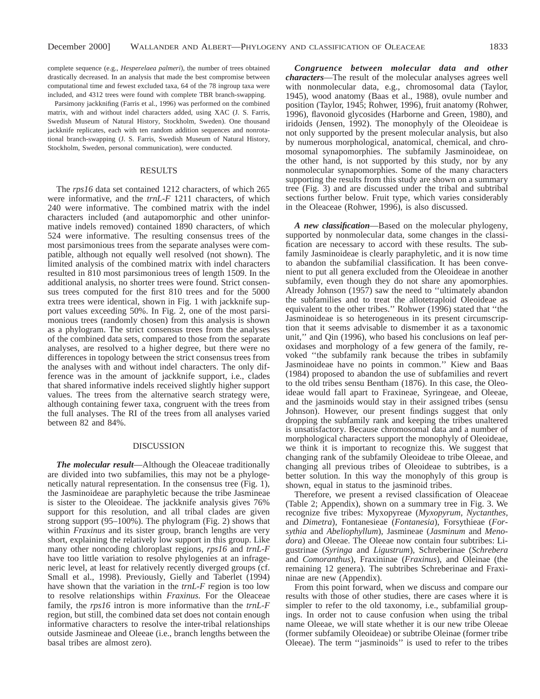complete sequence (e.g., *Hesperelaea palmeri*), the number of trees obtained drastically decreased. In an analysis that made the best compromise between computational time and fewest excluded taxa, 64 of the 78 ingroup taxa were included, and 4312 trees were found with complete TBR branch-swapping.

Parsimony jackknifing (Farris et al., 1996) was performed on the combined matrix, with and without indel characters added, using XAC (J. S. Farris, Swedish Museum of Natural History, Stockholm, Sweden). One thousand jackknife replicates, each with ten random addition sequences and nonrotational branch-swapping (J. S. Farris, Swedish Museum of Natural History, Stockholm, Sweden, personal communication), were conducted.

## RESULTS

The *rps16* data set contained 1212 characters, of which 265 were informative, and the *trnL-F* 1211 characters, of which 240 were informative. The combined matrix with the indel characters included (and autapomorphic and other uninformative indels removed) contained 1890 characters, of which 524 were informative. The resulting consensus trees of the most parsimonious trees from the separate analyses were compatible, although not equally well resolved (not shown). The limited analysis of the combined matrix with indel characters resulted in 810 most parsimonious trees of length 1509. In the additional analysis, no shorter trees were found. Strict consensus trees computed for the first 810 trees and for the 5000 extra trees were identical, shown in Fig. 1 with jackknife support values exceeding 50%. In Fig. 2, one of the most parsimonious trees (randomly chosen) from this analysis is shown as a phylogram. The strict consensus trees from the analyses of the combined data sets, compared to those from the separate analyses, are resolved to a higher degree, but there were no differences in topology between the strict consensus trees from the analyses with and without indel characters. The only difference was in the amount of jackknife support, i.e., clades that shared informative indels received slightly higher support values. The trees from the alternative search strategy were, although containing fewer taxa, congruent with the trees from the full analyses. The RI of the trees from all analyses varied between 82 and 84%.

### DISCUSSION

*The molecular result*—Although the Oleaceae traditionally are divided into two subfamilies, this may not be a phylogenetically natural representation. In the consensus tree (Fig. 1), the Jasminoideae are paraphyletic because the tribe Jasmineae is sister to the Oleoideae. The jackknife analysis gives 76% support for this resolution, and all tribal clades are given strong support (95–100%). The phylogram (Fig. 2) shows that within *Fraxinus* and its sister group, branch lengths are very short, explaining the relatively low support in this group. Like many other noncoding chloroplast regions, *rps16* and *trnL-F* have too little variation to resolve phylogenies at an infrageneric level, at least for relatively recently diverged groups (cf. Small et al., 1998). Previously, Gielly and Taberlet (1994) have shown that the variation in the *trnL-F* region is too low to resolve relationships within *Fraxinus.* For the Oleaceae family, the *rps16* intron is more informative than the *trnL-F* region, but still, the combined data set does not contain enough informative characters to resolve the inter-tribal relationships outside Jasmineae and Oleeae (i.e., branch lengths between the basal tribes are almost zero).

*Congruence between molecular data and other characters*—The result of the molecular analyses agrees well with nonmolecular data, e.g., chromosomal data (Taylor, 1945), wood anatomy (Baas et al., 1988), ovule number and position (Taylor, 1945; Rohwer, 1996), fruit anatomy (Rohwer, 1996), flavonoid glycosides (Harborne and Green, 1980), and iridoids (Jensen, 1992). The monophyly of the Oleoideae is not only supported by the present molecular analysis, but also by numerous morphological, anatomical, chemical, and chromosomal synapomorphies. The subfamily Jasminoideae, on the other hand, is not supported by this study, nor by any nonmolecular synapomorphies. Some of the many characters supporting the results from this study are shown on a summary tree (Fig. 3) and are discussed under the tribal and subtribal sections further below. Fruit type, which varies considerably in the Oleaceae (Rohwer, 1996), is also discussed.

*A new classification*—Based on the molecular phylogeny, supported by nonmolecular data, some changes in the classification are necessary to accord with these results. The subfamily Jasminoideae is clearly paraphyletic, and it is now time to abandon the subfamilial classification. It has been convenient to put all genera excluded from the Oleoideae in another subfamily, even though they do not share any apomorphies. Already Johnson (1957) saw the need to ''ultimately abandon the subfamilies and to treat the allotetraploid Oleoideae as equivalent to the other tribes.'' Rohwer (1996) stated that ''the Jasminoideae is so heterogeneous in its present circumscription that it seems advisable to dismember it as a taxonomic unit,'' and Qin (1996), who based his conclusions on leaf peroxidases and morphology of a few genera of the family, revoked ''the subfamily rank because the tribes in subfamily Jasminoideae have no points in common.'' Kiew and Baas (1984) proposed to abandon the use of subfamilies and revert to the old tribes sensu Bentham (1876). In this case, the Oleoideae would fall apart to Fraxineae, Syringeae, and Oleeae, and the jasminoids would stay in their assigned tribes (sensu Johnson). However, our present findings suggest that only dropping the subfamily rank and keeping the tribes unaltered is unsatisfactory. Because chromosomal data and a number of morphological characters support the monophyly of Oleoideae, we think it is important to recognize this. We suggest that changing rank of the subfamily Oleoideae to tribe Oleeae, and changing all previous tribes of Oleoideae to subtribes, is a better solution. In this way the monophyly of this group is shown, equal in status to the jasminoid tribes.

Therefore, we present a revised classification of Oleaceae (Table 2; Appendix), shown on a summary tree in Fig. 3. We recognize five tribes: Myxopyreae (*Myxopyrum, Nyctanthes,* and *Dimetra*), Fontanesieae (*Fontanesia*), Forsythieae (*Forsythia* and *Abeliophyllum*), Jasmineae (*Jasminum* and *Menodora*) and Oleeae. The Oleeae now contain four subtribes: Ligustrinae (*Syringa* and *Ligustrum*), Schreberinae (*Schrebera* and *Comoranthus*), Fraxininae (*Fraxinus*), and Oleinae (the remaining 12 genera). The subtribes Schreberinae and Fraxininae are new (Appendix).

From this point forward, when we discuss and compare our results with those of other studies, there are cases where it is simpler to refer to the old taxonomy, i.e., subfamilial groupings. In order not to cause confusion when using the tribal name Oleeae, we will state whether it is our new tribe Oleeae (former subfamily Oleoideae) or subtribe Oleinae (former tribe Oleeae). The term ''jasminoids'' is used to refer to the tribes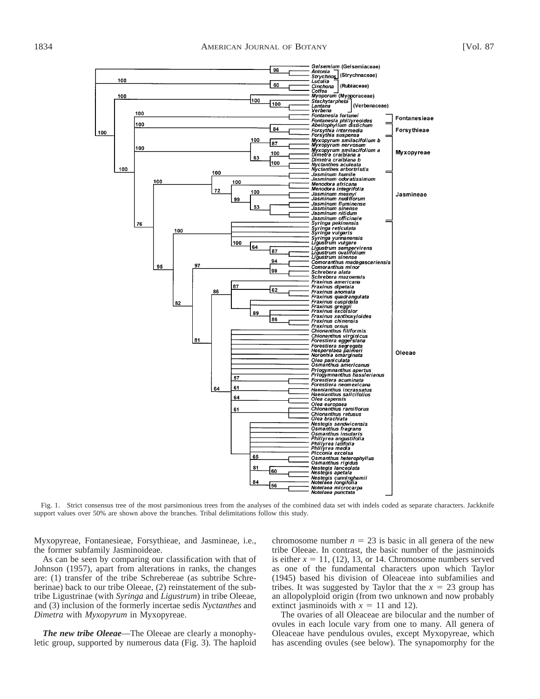

Fig. 1. Strict consensus tree of the most parsimonious trees from the analyses of the combined data set with indels coded as separate characters. Jackknife support values over 50% are shown above the branches. Tribal delimitations follow this study.

Myxopyreae, Fontanesieae, Forsythieae, and Jasmineae, i.e., the former subfamily Jasminoideae.

As can be seen by comparing our classification with that of Johnson (1957), apart from alterations in ranks, the changes are: (1) transfer of the tribe Schrebereae (as subtribe Schreberinae) back to our tribe Oleeae, (2) reinstatement of the subtribe Ligustrinae (with *Syringa* and *Ligustrum*) in tribe Oleeae, and (3) inclusion of the formerly incertae sedis *Nyctanthes* and *Dimetra* with *Myxopyrum* in Myxopyreae.

*The new tribe Oleeae*—The Oleeae are clearly a monophyletic group, supported by numerous data (Fig. 3). The haploid chromosome number  $n = 23$  is basic in all genera of the new tribe Oleeae. In contrast, the basic number of the jasminoids is either  $x = 11$ , (12), 13, or 14. Chromosome numbers served as one of the fundamental characters upon which Taylor (1945) based his division of Oleaceae into subfamilies and tribes. It was suggested by Taylor that the  $x = 23$  group has an allopolyploid origin (from two unknown and now probably extinct jasminoids with  $x = 11$  and 12).

The ovaries of all Oleaceae are bilocular and the number of ovules in each locule vary from one to many. All genera of Oleaceae have pendulous ovules, except Myxopyreae, which has ascending ovules (see below). The synapomorphy for the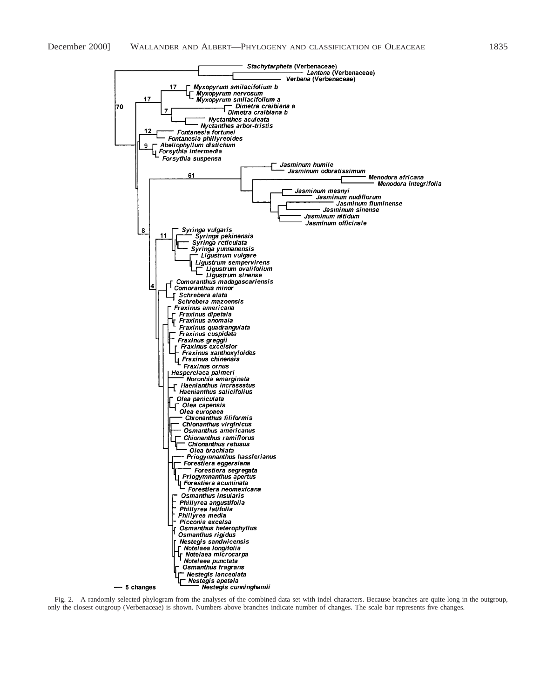

Fig. 2. A randomly selected phylogram from the analyses of the combined data set with indel characters. Because branches are quite long in the outgroup, only the closest outgroup (Verbenaceae) is shown. Numbers above branches indicate number of changes. The scale bar represents five changes.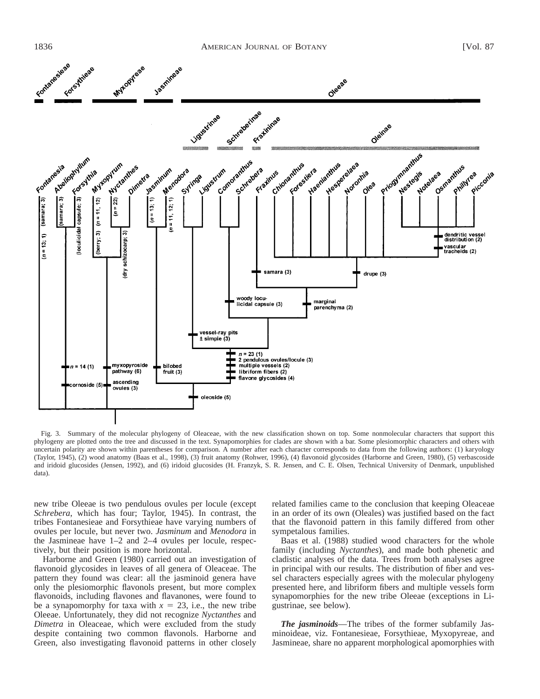

Fig. 3. Summary of the molecular phylogeny of Oleaceae, with the new classification shown on top. Some nonmolecular characters that support this phylogeny are plotted onto the tree and discussed in the text. Synapomorphies for clades are shown with a bar. Some plesiomorphic characters and others with uncertain polarity are shown within parentheses for comparison. A number after each character corresponds to data from the following authors: (1) karyology (Taylor, 1945), (2) wood anatomy (Baas et al., 1998), (3) fruit anatomy (Rohwer, 1996), (4) flavonoid glycosides (Harborne and Green, 1980), (5) verbascoside and iridoid glucosides (Jensen, 1992), and (6) iridoid glucosides (H. Franzyk, S. R. Jensen, and C. E. Olsen, Technical University of Denmark, unpublished data).

new tribe Oleeae is two pendulous ovules per locule (except *Schrebera*, which has four; Taylor, 1945). In contrast, the tribes Fontanesieae and Forsythieae have varying numbers of ovules per locule, but never two. *Jasminum* and *Menodora* in the Jasmineae have 1–2 and 2–4 ovules per locule, respectively, but their position is more horizontal.

Harborne and Green (1980) carried out an investigation of flavonoid glycosides in leaves of all genera of Oleaceae. The pattern they found was clear: all the jasminoid genera have only the plesiomorphic flavonols present, but more complex flavonoids, including flavones and flavanones, were found to be a synapomorphy for taxa with  $x = 23$ , i.e., the new tribe Oleeae. Unfortunately, they did not recognize *Nyctanthes* and *Dimetra* in Oleaceae, which were excluded from the study despite containing two common flavonols. Harborne and Green, also investigating flavonoid patterns in other closely related families came to the conclusion that keeping Oleaceae in an order of its own (Oleales) was justified based on the fact that the flavonoid pattern in this family differed from other sympetalous families.

Baas et al. (1988) studied wood characters for the whole family (including *Nyctanthes*), and made both phenetic and cladistic analyses of the data. Trees from both analyses agree in principal with our results. The distribution of fiber and vessel characters especially agrees with the molecular phylogeny presented here, and libriform fibers and multiple vessels form synapomorphies for the new tribe Oleeae (exceptions in Ligustrinae, see below).

*The jasminoids*—The tribes of the former subfamily Jasminoideae, viz. Fontanesieae, Forsythieae, Myxopyreae, and Jasmineae, share no apparent morphological apomorphies with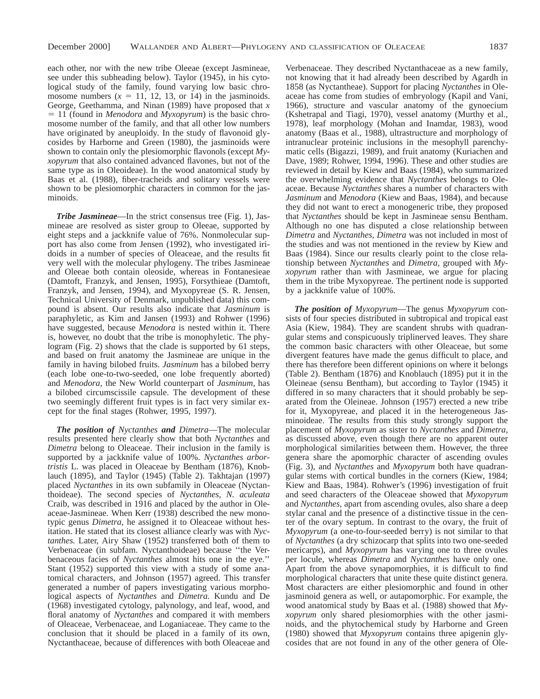each other, nor with the new tribe Oleeae (except Jasmineae, see under this subheading below). Taylor (1945), in his cytological study of the family, found varying low basic chromosome numbers  $(x = 11, 12, 13,$  or 14) in the jasminoids. George, Geethamma, and Ninan (1989) have proposed that *x*  $= 11$  (found in *Menodora* and *Myxopyrum*) is the basic chromosome number of the family, and that all other low numbers have originated by aneuploidy. In the study of flavonoid glycosides by Harborne and Green (1980), the jasminoids were shown to contain only the plesiomorphic flavonols (except *Myxopyrum* that also contained advanced flavones, but not of the same type as in Oleoideae). In the wood anatomical study by Baas et al. (1988), fiber-tracheids and solitary vessels were shown to be plesiomorphic characters in common for the jasminoids.

*Tribe Jasmineae*—In the strict consensus tree (Fig. 1), Jasmineae are resolved as sister group to Oleeae, supported by eight steps and a jackknife value of 76%. Nonmolecular support has also come from Jensen (1992), who investigated iridoids in a number of species of Oleaceae, and the results fit very well with the molecular phylogeny. The tribes Jasmineae and Oleeae both contain oleoside, whereas in Fontanesieae (Damtoft, Franzyk, and Jensen, 1995), Forsythieae (Damtoft, Franzyk, and Jensen, 1994), and Myxopyreae (S. R. Jensen, Technical University of Denmark, unpublished data) this compound is absent. Our results also indicate that *Jasminum* is paraphyletic, as Kim and Jansen (1993) and Rohwer (1996) have suggested, because *Menodora* is nested within it. There is, however, no doubt that the tribe is monophyletic. The phylogram (Fig. 2) shows that the clade is supported by 61 steps, and based on fruit anatomy the Jasmineae are unique in the family in having bilobed fruits. *Jasminum* has a bilobed berry (each lobe one-to-two-seeded, one lobe frequently aborted) and *Menodora,* the New World counterpart of *Jasminum,* has a bilobed circumscissile capsule. The development of these two seemingly different fruit types is in fact very similar except for the final stages (Rohwer, 1995, 1997).

*The position of Nyctanthes and Dimetra*—The molecular results presented here clearly show that both *Nyctanthes* and *Dimetra* belong to Oleaceae. Their inclusion in the family is supported by a jackknife value of 100%. *Nyctanthes arbortristis* L. was placed in Oleaceae by Bentham (1876), Knoblauch (1895), and Taylor (1945) (Table 2). Takhtajan (1997) placed *Nyctanthes* in its own subfamily in Oleaceae (Nyctanthoideae). The second species of *Nyctanthes, N. aculeata* Craib, was described in 1916 and placed by the author in Oleaceae-Jasmineae. When Kerr (1938) described the new monotypic genus *Dimetra,* he assigned it to Oleaceae without hesitation. He stated that its closest alliance clearly was with *Nyctanthes.* Later, Airy Shaw (1952) transferred both of them to Verbenaceae (in subfam. Nyctanthoideae) because ''the Verbenaceous facies of *Nyctanthes* almost hits one in the eye.'' Stant (1952) supported this view with a study of some anatomical characters, and Johnson (1957) agreed. This transfer generated a number of papers investigating various morphological aspects of *Nyctanthes* and *Dimetra.* Kundu and De (1968) investigated cytology, palynology, and leaf, wood, and floral anatomy of *Nyctanthes* and compared it with members of Oleaceae, Verbenaceae, and Loganiaceae. They came to the conclusion that it should be placed in a family of its own, Nyctanthaceae, because of differences with both Oleaceae and

Verbenaceae. They described Nyctanthaceae as a new family, not knowing that it had already been described by Agardh in 1858 (as Nyctantheae). Support for placing *Nyctanthes* in Oleaceae has come from studies of embryology (Kapil and Vani, 1966), structure and vascular anatomy of the gynoecium (Kshetrapal and Tiagi, 1970), vessel anatomy (Murthy et al., 1978), leaf morphology (Mohan and Inamdar, 1983), wood anatomy (Baas et al., 1988), ultrastructure and morphology of intranuclear proteinic inclusions in the mesophyll parenchymatic cells (Bigazzi, 1989), and fruit anatomy (Kuriachen and Dave, 1989; Rohwer, 1994, 1996). These and other studies are reviewed in detail by Kiew and Baas (1984), who summarized the overwhelming evidence that *Nyctanthes* belongs to Oleaceae. Because *Nyctanthes* shares a number of characters with *Jasminum* and *Menodora* (Kiew and Baas, 1984), and because they did not want to erect a monogeneric tribe, they proposed that *Nyctanthes* should be kept in Jasmineae sensu Bentham. Although no one has disputed a close relationship between *Dimetra* and *Nyctanthes, Dimetra* was not included in most of the studies and was not mentioned in the review by Kiew and Baas (1984). Since our results clearly point to the close relationship between *Nyctanthes* and *Dimetra,* grouped with *Myxopyrum* rather than with Jasmineae, we argue for placing them in the tribe Myxopyreae. The pertinent node is supported by a jackknife value of 100%.

*The position of Myxopyrum*—The genus *Myxopyrum* consists of four species distributed in subtropical and tropical east Asia (Kiew, 1984). They are scandent shrubs with quadrangular stems and conspicuously triplinerved leaves. They share the common basic characters with other Oleaceae, but some divergent features have made the genus difficult to place, and there has therefore been different opinions on where it belongs (Table 2). Bentham (1876) and Knoblauch (1895) put it in the Oleineae (sensu Bentham), but according to Taylor (1945) it differed in so many characters that it should probably be separated from the Oleineae. Johnson (1957) erected a new tribe for it, Myxopyreae, and placed it in the heterogeneous Jasminoideae. The results from this study strongly support the placement of *Myxopyrum* as sister to *Nyctanthes* and *Dimetra,* as discussed above, even though there are no apparent outer morphological similarities between them. However, the three genera share the apomorphic character of ascending ovules (Fig. 3), and *Nyctanthes* and *Myxopyrum* both have quadrangular stems with cortical bundles in the corners (Kiew, 1984; Kiew and Baas, 1984). Rohwer's (1996) investigation of fruit and seed characters of the Oleaceae showed that *Myxopyrum* and *Nyctanthes,* apart from ascending ovules, also share a deep stylar canal and the presence of a distinctive tissue in the center of the ovary septum. In contrast to the ovary, the fruit of *Myxopyrum* (a one-to-four-seeded berry) is not similar to that of *Nyctanthes* (a dry schizocarp that splits into two one-seeded mericarps), and *Myxopyrum* has varying one to three ovules per locule, whereas *Dimetra* and *Nyctanthes* have only one. Apart from the above synapomorphies, it is difficult to find morphological characters that unite these quite distinct genera. Most characters are either plesiomorphic and found in other jasminoid genera as well, or autapomorphic. For example, the wood anatomical study by Baas et al. (1988) showed that *Myxopyrum* only shared plesiomorphies with the other jasminoids, and the phytochemical study by Harborne and Green (1980) showed that *Myxopyrum* contains three apigenin glycosides that are not found in any of the other genera of Ole-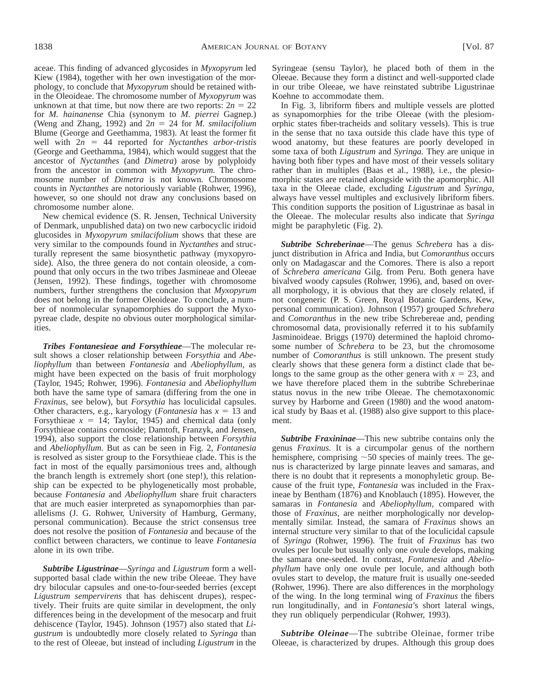aceae. This finding of advanced glycosides in *Myxopyrum* led Kiew (1984), together with her own investigation of the morphology, to conclude that *Myxopyrum* should be retained within the Oleoideae. The chromosome number of *Myxopyrum* was unknown at that time, but now there are two reports:  $2n = 22$ for *M. hainanense* Chia (synonym to *M. pierrei* Gagnep.) (Weng and Zhang, 1992) and  $2n = 24$  for *M. smilacifolium* Blume (George and Geethamma, 1983). At least the former fit well with  $2n = 44$  reported for *Nyctanthes arbor-tristis* (George and Geethamma, 1984), which would suggest that the ancestor of *Nyctanthes* (and *Dimetra*) arose by polyploidy from the ancestor in common with *Myxopyrum.* The chromosome number of *Dimetra* is not known. Chromosome counts in *Nyctanthes* are notoriously variable (Rohwer, 1996), however, so one should not draw any conclusions based on chromosome number alone.

New chemical evidence (S. R. Jensen, Technical University of Denmark, unpublished data) on two new carbocyclic iridoid glucosides in *Myxopyrum smilacifolium* shows that these are very similar to the compounds found in *Nyctanthes* and structurally represent the same biosynthetic pathway (myxopyroside). Also, the three genera do not contain oleoside, a compound that only occurs in the two tribes Jasmineae and Oleeae (Jensen, 1992). These findings, together with chromosome numbers, further strengthens the conclusion that *Myxopyrum* does not belong in the former Oleoideae. To conclude, a number of nonmolecular synapomorphies do support the Myxopyreae clade, despite no obvious outer morphological similarities.

*Tribes Fontanesieae and Forsythieae*—The molecular result shows a closer relationship between *Forsythia* and *Abeliophyllum* than between *Fontanesia* and *Abeliophyllum,* as might have been expected on the basis of fruit morphology (Taylor, 1945; Rohwer, 1996). *Fontanesia* and *Abeliophyllum* both have the same type of samara (differing from the one in *Fraxinus,* see below), but *Forsythia* has loculicidal capsules. Other characters, e.g., karyology (*Fontanesia* has  $x = 13$  and Forsythieae  $x = 14$ ; Taylor, 1945) and chemical data (only Forsythieae contains cornoside; Damtoft, Franzyk, and Jensen, 1994), also support the close relationship between *Forsythia* and *Abeliophyllum.* But as can be seen in Fig. 2, *Fontanesia* is resolved as sister group to the Forsythieae clade. This is the fact in most of the equally parsimonious trees and, although the branch length is extremely short (one step!), this relationship can be expected to be phylogenetically most probable, because *Fontanesia* and *Abeliophyllum* share fruit characters that are much easier interpreted as synapomorphies than parallelisms (J. G. Rohwer, University of Hamburg, Germany, personal communication). Because the strict consensus tree does not resolve the position of *Fontanesia* and because of the conflict between characters, we continue to leave *Fontanesia* alone in its own tribe.

*Subtribe Ligustrinae*—*Syringa* and *Ligustrum* form a wellsupported basal clade within the new tribe Oleeae. They have dry bilocular capsules and one-to-four-seeded berries (except *Ligustrum sempervirens* that has dehiscent drupes), respectively. Their fruits are quite similar in development, the only differences being in the development of the mesocarp and fruit dehiscence (Taylor, 1945). Johnson (1957) also stated that *Ligustrum* is undoubtedly more closely related to *Syringa* than to the rest of Oleeae, but instead of including *Ligustrum* in the Syringeae (sensu Taylor), he placed both of them in the Oleeae. Because they form a distinct and well-supported clade in our tribe Oleeae, we have reinstated subtribe Ligustrinae Koehne to accommodate them.

In Fig. 3, libriform fibers and multiple vessels are plotted as synapomorphies for the tribe Oleeae (with the plesiomorphic states fiber-tracheids and solitary vessels). This is true in the sense that no taxa outside this clade have this type of wood anatomy, but these features are poorly developed in some taxa of both *Ligustrum* and *Syringa.* They are unique in having both fiber types and have most of their vessels solitary rather than in multiples (Baas et al., 1988), i.e., the plesiomorphic states are retained alongside with the apomorphic. All taxa in the Oleeae clade, excluding *Ligustrum* and *Syringa,* always have vessel multiples and exclusively libriform fibers. This condition supports the position of Ligustrinae as basal in the Oleeae. The molecular results also indicate that *Syringa* might be paraphyletic (Fig. 2).

*Subtribe Schreberinae*—The genus *Schrebera* has a disjunct distribution in Africa and India, but *Comoranthus* occurs only on Madagascar and the Comores. There is also a report of *Schrebera americana* Gilg. from Peru. Both genera have bivalved woody capsules (Rohwer, 1996), and, based on overall morphology, it is obvious that they are closely related, if not congeneric (P. S. Green, Royal Botanic Gardens, Kew, personal communication). Johnson (1957) grouped *Schrebera* and *Comoranthus* in the new tribe Schrebereae and, pending chromosomal data, provisionally referred it to his subfamily Jasminoideae. Briggs (1970) determined the haploid chromosome number of *Schrebera* to be 23, but the chromosome number of *Comoranthus* is still unknown. The present study clearly shows that these genera form a distinct clade that belongs to the same group as the other genera with  $x = 23$ , and we have therefore placed them in the subtribe Schreberinae status novus in the new tribe Oleeae. The chemotaxonomic survey by Harborne and Green (1980) and the wood anatomical study by Baas et al. (1988) also give support to this placement.

*Subtribe Fraxininae*—This new subtribe contains only the genus *Fraxinus.* It is a circumpolar genus of the northern hemisphere, comprising  $\sim$  50 species of mainly trees. The genus is characterized by large pinnate leaves and samaras, and there is no doubt that it represents a monophyletic group. Because of the fruit type, *Fontanesia* was included in the Fraxineae by Bentham (1876) and Knoblauch (1895). However, the samaras in *Fontanesia* and *Abeliophyllum,* compared with those of *Fraxinus,* are neither morphologically nor developmentally similar. Instead, the samara of *Fraxinus* shows an internal structure very similar to that of the loculicidal capsule of *Syringa* (Rohwer, 1996). The fruit of *Fraxinus* has two ovules per locule but usually only one ovule develops, making the samara one-seeded. In contrast, *Fontanesia* and *Abeliophyllum* have only one ovule per locule, and although both ovules start to develop, the mature fruit is usually one-seeded (Rohwer, 1996). There are also differences in the morphology of the wing. In the long terminal wing of *Fraxinus* the fibers run longitudinally, and in *Fontanesia*'s short lateral wings, they run obliquely perpendicular (Rohwer, 1993).

*Subtribe Oleinae*—The subtribe Oleinae, former tribe Oleeae, is characterized by drupes. Although this group does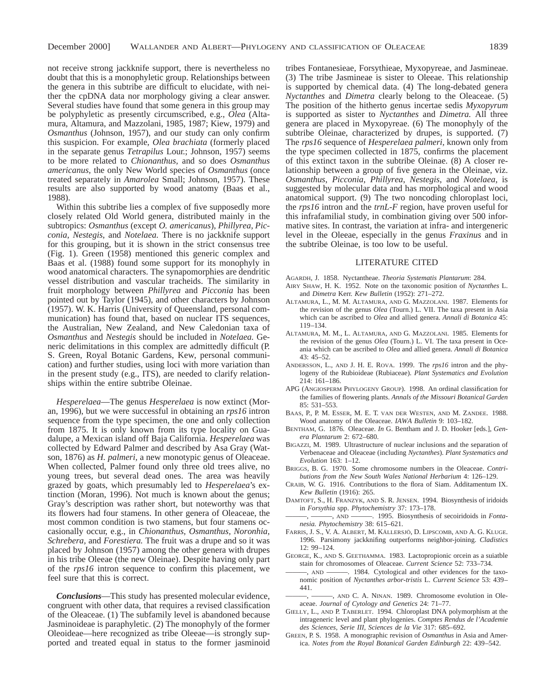not receive strong jackknife support, there is nevertheless no doubt that this is a monophyletic group. Relationships between the genera in this subtribe are difficult to elucidate, with neither the cpDNA data nor morphology giving a clear answer. Several studies have found that some genera in this group may be polyphyletic as presently circumscribed, e.g., *Olea* (Altamura, Altamura, and Mazzolani, 1985, 1987; Kiew, 1979) and *Osmanthus* (Johnson, 1957), and our study can only confirm this suspicion. For example, *Olea brachiata* (formerly placed in the separate genus *Tetrapilus* Lour.; Johnson, 1957) seems to be more related to *Chionanthus,* and so does *Osmanthus americanus,* the only New World species of *Osmanthus* (once treated separately in *Amarolea* Small; Johnson, 1957). These results are also supported by wood anatomy (Baas et al., 1988).

Within this subtribe lies a complex of five supposedly more closely related Old World genera, distributed mainly in the subtropics: *Osmanthus* (except *O. americanus*), *Phillyrea*, *Picconia*, *Nestegis*, and *Notelaea.* There is no jackknife support for this grouping, but it is shown in the strict consensus tree (Fig. 1). Green (1958) mentioned this generic complex and Baas et al. (1988) found some support for its monophyly in wood anatomical characters. The synapomorphies are dendritic vessel distribution and vascular tracheids. The similarity in fruit morphology between *Phillyrea* and *Picconia* has been pointed out by Taylor (1945), and other characters by Johnson (1957). W. K. Harris (University of Queensland, personal communication) has found that, based on nuclear ITS sequences, the Australian, New Zealand, and New Caledonian taxa of *Osmanthus* and *Nestegis* should be included in *Notelaea.* Generic delimitations in this complex are admittedly difficult (P. S. Green, Royal Botanic Gardens, Kew, personal communication) and further studies, using loci with more variation than in the present study (e.g., ITS), are needed to clarify relationships within the entire subtribe Oleinae.

*Hesperelaea*—The genus *Hesperelaea* is now extinct (Moran, 1996), but we were successful in obtaining an *rps16* intron sequence from the type specimen, the one and only collection from 1875. It is only known from its type locality on Guadalupe, a Mexican island off Baja California. *Hesperelaea* was collected by Edward Palmer and described by Asa Gray (Watson, 1876) as *H. palmeri,* a new monotypic genus of Oleaceae. When collected, Palmer found only three old trees alive, no young trees, but several dead ones. The area was heavily grazed by goats, which presumably led to *Hesperelaea*'s extinction (Moran, 1996). Not much is known about the genus; Gray's description was rather short, but noteworthy was that its flowers had four stamens. In other genera of Oleaceae, the most common condition is two stamens, but four stamens occasionally occur, e.g., in *Chionanthus, Osmanthus, Noronhia, Schrebera,* and *Forestiera.* The fruit was a drupe and so it was placed by Johnson (1957) among the other genera with drupes in his tribe Oleeae (the new Oleinae). Despite having only part of the *rps16* intron sequence to confirm this placement, we feel sure that this is correct.

*Conclusions*—This study has presented molecular evidence, congruent with other data, that requires a revised classification of the Oleaceae. (1) The subfamily level is abandoned because Jasminoideae is paraphyletic. (2) The monophyly of the former Oleoideae—here recognized as tribe Oleeae—is strongly supported and treated equal in status to the former jasminoid

tribes Fontanesieae, Forsythieae, Myxopyreae, and Jasmineae. (3) The tribe Jasmineae is sister to Oleeae. This relationship is supported by chemical data. (4) The long-debated genera *Nyctanthes* and *Dimetra* clearly belong to the Oleaceae. (5) The position of the hitherto genus incertae sedis *Myxopyrum* is supported as sister to *Nyctanthes* and *Dimetra.* All three genera are placed in Myxopyreae. (6) The monophyly of the subtribe Oleinae, characterized by drupes, is supported. (7) The *rps16* sequence of *Hesperelaea palmeri,* known only from the type specimen collected in 1875, confirms the placement of this extinct taxon in the subtribe Oleinae. (8) A closer relationship between a group of five genera in the Oleinae, viz. *Osmanthus*, *Picconia*, *Phillyrea*, *Nestegis*, and *Notelaea*, is suggested by molecular data and has morphological and wood anatomical support. (9) The two noncoding chloroplast loci, the *rps16* intron and the *trnL-F* region, have proven useful for this infrafamilial study, in combination giving over 500 informative sites. In contrast, the variation at infra- and intergeneric level in the Oleeae, especially in the genus *Fraxinus* and in the subtribe Oleinae, is too low to be useful.

#### LITERATURE CITED

- AGARDH, J. 1858. Nyctantheae. *Theoria Systematis Plantarum*: 284.
- AIRY SHAW, H. K. 1952. Note on the taxonomic position of *Nyctanthes* L. and *Dimetra* Kerr. *Kew Bulletin* (1952): 271–272.
- ALTAMURA, L., M. M. ALTAMURA, AND G. MAZZOLANI. 1987. Elements for the revision of the genus *Olea* (Tourn.) L. VII. The taxa present in Asia which can be ascribed to *Olea* and allied genera. *Annali di Botanica* 45: 119–134.
- ALTAMURA, M. M., L. ALTAMURA, AND G. MAZZOLANI. 1985. Elements for the revision of the genus *Olea* (Tourn.) L. VI. The taxa present in Oceania which can be ascribed to *Olea* and allied genera. *Annali di Botanica*  $43 \cdot 45 - 52$
- ANDERSSON, L., AND J. H. E. ROVA. 1999. The *rps16* intron and the phylogeny of the Rubioideae (Rubiaceae). *Plant Systematics and Evolution* 214: 161–186.
- APG (ANGIOSPERM PHYLOGENY GROUP). 1998. An ordinal classification for the families of flowering plants. *Annals of the Missouri Botanical Garden* 85: 531–553.
- BAAS, P., P. M. ESSER, M. E. T. VAN DER WESTEN, AND M. ZANDEE. 1988. Wood anatomy of the Oleaceae. *IAWA Bulletin* 9: 103–182.
- BENTHAM, G. 1876. Oleaceae. *In* G. Bentham and J. D. Hooker [eds.], *Genera Plantarum* 2: 672–680.
- BIGAZZI, M. 1989. Ultrastructure of nuclear inclusions and the separation of Verbenaceae and Oleaceae (including *Nyctanthes*). *Plant Systematics and Evolution* 163: 1–12.
- BRIGGS, B. G. 1970. Some chromosome numbers in the Oleaceae. *Contributions from the New South Wales National Herbarium* 4: 126–129.
- CRAIB, W. G. 1916. Contributions to the flora of Siam. Additamentum IX. *Kew Bulletin* (1916): 265.
- DAMTOFT, S., H. FRANZYK, AND S. R. JENSEN. 1994. Biosynthesis of iridoids in *Forsythia* spp. *Phytochemistry* 37: 173–178.
- ———, ———, AND ———. 1995. Biosynthesis of secoiridoids in *Fontanesia. Phytochemistry* 38: 615–621.
- FARRIS, J. S., V. A. ALBERT, M. KÄLLERSJÖ, D. LIPSCOMB, AND A. G. KLUGE. 1996. Parsimony jackknifing outperforms neighbor-joining. *Cladistics* 12: 99–124.
- GEORGE, K., AND S. GEETHAMMA. 1983. Lactopropionic orcein as a suiatble stain for chromosomes of Oleaceae. *Current Science* 52: 733–734.
- ———, AND ———. 1984. Cytological and other evidences for the taxonomic position of *Nyctanthes arbor-tristis* L. *Current Science* 53: 439– 441.
- , AND C. A. NINAN. 1989. Chromosome evolution in Oleaceae. *Journal of Cytology and Genetics* 24: 71–77.
- GIELLY, L., AND P. TABERLET. 1994. Chloroplast DNA polymorphism at the intrageneric level and plant phylogenies. *Comptes Rendus de l'Academie des Sciences, Serie III, Sciences de la Vie* 317: 685–692.
- GREEN, P. S. 1958. A monographic revision of *Osmanthus* in Asia and America. *Notes from the Royal Botanical Garden Edinburgh* 22: 439–542.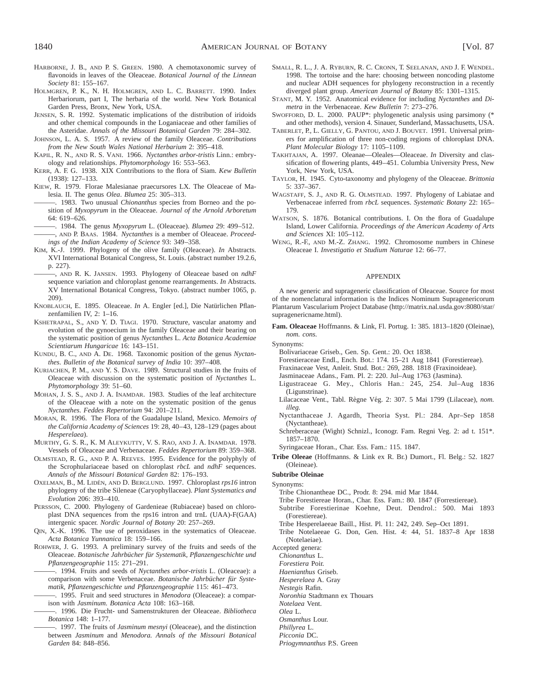- HARBORNE, J. B., AND P. S. GREEN. 1980. A chemotaxonomic survey of flavonoids in leaves of the Oleaceae. *Botanical Journal of the Linnean Society* 81: 155–167.
- HOLMGREN, P. K., N. H. HOLMGREN, AND L. C. BARRETT. 1990. Index Herbariorum, part I, The herbaria of the world. New York Botanical Garden Press, Bronx, New York, USA.
- JENSEN, S. R. 1992. Systematic implications of the distribution of iridoids and other chemical compounds in the Loganiaceae and other families of the Asteridae. *Annals of the Missouri Botanical Garden* 79: 284–302.
- JOHNSON, L. A. S. 1957. A review of the family Oleaceae. *Contributions from the New South Wales National Herbarium* 2: 395–418.
- KAPIL, R. N., AND R. S. VANI. 1966. *Nyctanthes arbor-tristis* Linn.: embryology and relationships. *Phytomorphology* 16: 553–563.
- KERR, A. F. G. 1938. XIX Contributions to the flora of Siam. *Kew Bulletin* (1938): 127–133.
- KIEW, R. 1979. Florae Malesianae praecursores LX. The Oleaceae of Malesia. II. The genus *Olea*. *Blumea* 25: 305–313.
- ———. 1983. Two unusual *Chionanthus* species from Borneo and the position of *Myxopyrum* in the Oleaceae. *Journal of the Arnold Arboretum* 64: 619–626.
- ———. 1984. The genus *Myxopyrum* L. (Oleaceae). *Blumea* 29: 499–512. ———, AND P. BAAS. 1984. *Nyctanthes* is a member of Oleaceae. *Proceedings of the Indian Academy of Science* 93: 349–358.
- KIM, K.-J. 1999. Phylogeny of the olive family (Oleaceae). *In* Abstracts. XVI International Botanical Congress, St. Louis. (abstract number 19.2.6, p. 227).

———, AND R. K. JANSEN. 1993. Phylogeny of Oleaceae based on *ndhF* sequence variation and chloroplast genome rearrangements. *In* Abstracts. XV International Botanical Congress, Tokyo. (abstract number 1065, p. 209).

- KNOBLAUCH, E. 1895. Oleaceae. *In* A. Engler [ed.], Die Natürlichen Pflanzenfamilien IV, 2: 1–16.
- KSHETRAPAL, S., AND Y. D. TIAGI. 1970. Structure, vascular anatomy and evolution of the gynoecium in the family Oleaceae and their bearing on the systematic position of genus *Nyctanthes* L. *Acta Botanica Academiae Scientiarum Hungaricae* 16: 143–151.
- KUNDU, B. C., AND A. DE. 1968. Taxonomic position of the genus *Nyctanthes*. *Bulletin of the Botanical survey of India* 10: 397–408.
- KURIACHEN, P. M., AND Y. S. DAVE. 1989. Structural studies in the fruits of Oleaceae with discussion on the systematic position of *Nyctanthes* L. *Phytomorphology* 39: 51–60.
- MOHAN, J. S. S., AND J. A. INAMDAR. 1983. Studies of the leaf architecture of the Oleaceae with a note on the systematic position of the genus *Nyctanthes*. *Feddes Repertorium* 94: 201–211.
- MORAN, R. 1996. The Flora of the Guadalupe Island, Mexico. *Memoirs of the California Academy of Sciences* 19: 28, 40–43, 128–129 (pages about *Hesperelaea*).
- MURTHY, G. S. R., K. M ALEYKUTTY, V. S. RAO, AND J. A. INAMDAR. 1978. Vessels of Oleaceae and Verbenaceae. *Feddes Repertorium* 89: 359–368.
- OLMSTEAD, R. G., AND P. A. REEVES. 1995. Evidence for the polyphyly of the Scrophulariaceae based on chloroplast *rbcL* and *ndhF* sequences. *Annals of the Missouri Botanical Garden* 82: 176–193.
- OXELMAN, B., M. LIDE´N, AND D. BERGLUND. 1997. Chloroplast *rps16* intron phylogeny of the tribe Sileneae (Caryophyllaceae). *Plant Systematics and Evolution* 206: 393–410.
- PERSSON, C. 2000. Phylogeny of Gardenieae (Rubiaceae) based on chloroplast DNA sequences from the rps16 intron and trnL (UAA)-F(GAA) intergenic spacer. *Nordic Journal of Botany* 20: 257–269.
- QIN, X.-K. 1996. The use of peroxidases in the systematics of Oleaceae. *Acta Botanica Yunnanica* 18: 159–166.
- ROHWER, J. G. 1993. A preliminary survey of the fruits and seeds of the Oleaceae. *Botanische Jahrbu¨cher fu¨r Systematik, Pflanzengeschichte und Pflanzengeographie* 115: 271–291.
- ———. 1994. Fruits and seeds of *Nyctanthes arbor-tristis* L. (Oleaceae): a comparison with some Verbenaceae. Botanische Jahrbücher für Syste*matik, Pflanzengeschichte und Pflanzengeographie* 115: 461–473.
- ———. 1995. Fruit and seed structures in *Menodora* (Oleaceae): a comparison with *Jasminum. Botanica Acta* 108: 163–168.
- ———. 1996. Die Frucht- und Samenstrukturen der Oleaceae. *Bibliotheca Botanica* 148: 1–177.
- ———. 1997. The fruits of *Jasminum mesnyi* (Oleaceae), and the distinction between *Jasminum* and *Menodora. Annals of the Missouri Botanical Garden* 84: 848–856.
- SMALL, R. L., J. A. RYBURN, R. C. CRONN, T. SEELANAN, AND J. F. WENDEL. 1998. The tortoise and the hare: choosing between noncoding plastome and nuclear ADH sequences for phylogeny reconstruction in a recently diverged plant group. *American Journal of Botany* 85: 1301–1315.
- STANT, M. Y. 1952. Anatomical evidence for including *Nyctanthes* and *Dimetra* in the Verbenaceae. *Kew Bulletin* 7: 273–276.
- SWOFFORD, D. L. 2000. PAUP\*: phylogenetic analysis using parsimony (\* and other methods), version 4. Sinauer, Sunderland, Massachusetts, USA.
- TABERLET, P., L. GIELLY, G. PANTOU, AND J. BOUVET. 1991. Universal primers for amplification of three non-coding regions of chloroplast DNA. *Plant Molecular Biology* 17: 1105–1109.
- TAKHTAJAN, A. 1997. Oleanae—Oleales—Oleaceae. *In* Diversity and classification of flowering plants, 449–451. Columbia University Press, New York, New York, USA.
- TAYLOR, H. 1945. Cyto-taxonomy and phylogeny of the Oleaceae. *Brittonia* 5: 337–367.
- WAGSTAFF, S. J., AND R. G. OLMSTEAD. 1997. Phylogeny of Labiatae and Verbenaceae inferred from *rbcL* sequences. *Systematic Botany* 22: 165– 179.
- WATSON, S. 1876. Botanical contributions. I. On the flora of Guadalupe Island, Lower California. *Proceedings of the American Academy of Arts and Sciences* XI: 105–112.
- WENG, R.-F., AND M.-Z. ZHANG. 1992. Chromosome numbers in Chinese Oleaceae I. *Investigatio et Studium Naturae* 12: 66–77.

#### APPENDIX

A new generic and suprageneric classification of Oleaceae. Source for most of the nomenclatural information is the Indices Nominum Supragenericorum Plantarum Vascularium Project Database (http://matrix.nal.usda.gov:8080/star/ supragenericname.html).

- **Fam. Oleaceae** Hoffmanns. & Link, Fl. Portug. 1: 385. 1813–1820 (Oleinae), *nom. cons.*
- Synonyms:
	- Bolivariaceae Griseb., Gen. Sp. Gent.: 20. Oct 1838.
	- Forestieraceae Endl., Ench. Bot.: 174. 15–21 Aug 1841 (Forestiereae).
	- Fraxinaceae Vest, Anleit. Stud. Bot.: 269, 288. 1818 (Fraxinoideae).
	- Jasminaceae Adans., Fam. Pl. 2: 220. Jul–Aug 1763 (Jasmina).
	- Ligustraceae G. Mey., Chloris Han.: 245, 254. Jul–Aug 1836 (Ligunstrinae).
	- Lilacaceae Vent., Tabl. Règne Vég. 2: 307. 5 Mai 1799 (Lilaceae), nom. *illeg.*
	- Nyctanthaceae J. Agardh, Theoria Syst. Pl.: 284. Apr–Sep 1858 (Nyctantheae).
	- Schreberaceae (Wight) Schnizl., Iconogr. Fam. Regni Veg. 2: ad t. 151\*. 1857–1870.

Syringaceae Horan., Char. Ess. Fam.: 115. 1847.

**Tribe Oleeae** (Hoffmanns. & Link ex R. Br.) Dumort., Fl. Belg.: 52. 1827 (Oleineae).

#### **Subtribe Oleinae**

- Synonyms:
	- Tribe Chionantheae DC., Prodr. 8: 294. mid Mar 1844.
	- Tribe Forestiereae Horan., Char. Ess. Fam.: 80. 1847 (Forrestiereae).
	- Subtribe Forestierinae Koehne, Deut. Dendrol.: 500. Mai 1893 (Forestiereae).
	- Tribe Hesperelaeeae Baill., Hist. Pl. 11: 242, 249. Sep–Oct 1891.
	- Tribe Notelaeeae G. Don, Gen. Hist. 4: 44, 51. 1837–8 Apr 1838 (Notelaeiae).
- Accepted genera:
	- *Chionanthus* L.
	- *Forestiera* Poir.
	- *Haenianthus* Griseb.
	- *Hesperelaea* A. Gray

*Nestegis* Rafin.

- *Noronhia* Stadtmann ex Thouars
- *Notelaea* Vent.
- *Olea* L.

*Osmanthus* Lour.

- *Phillyrea* L. *Picconia* DC.
- *Priogymnanthus* P.S. Green